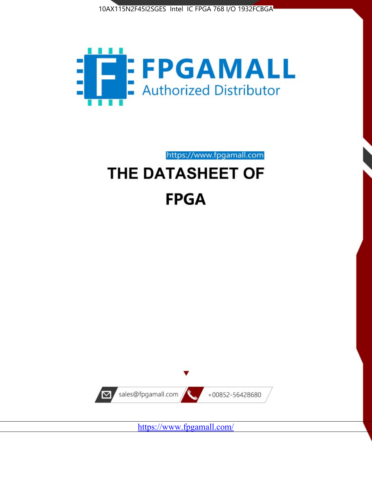



https://www.fpgamall.com

# THE DATASHEET OF **FPGA**



<https://www.fpgamall.com/>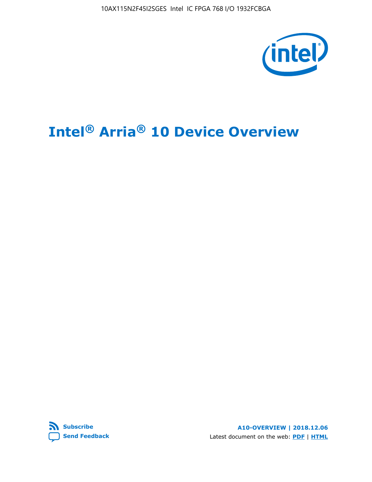10AX115N2F45I2SGES Intel IC FPGA 768 I/O 1932FCBGA



# **Intel® Arria® 10 Device Overview**



**A10-OVERVIEW | 2018.12.06** Latest document on the web: **[PDF](https://www.intel.com/content/dam/www/programmable/us/en/pdfs/literature/hb/arria-10/a10_overview.pdf)** | **[HTML](https://www.intel.com/content/www/us/en/programmable/documentation/sam1403480274650.html)**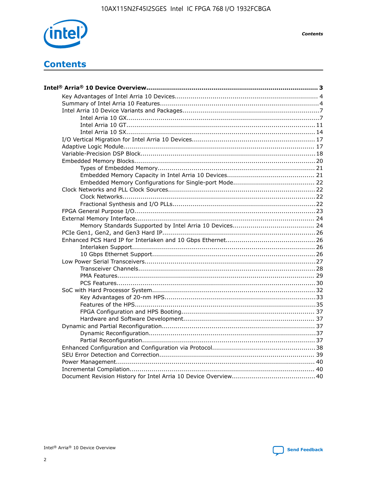

**Contents** 

# **Contents**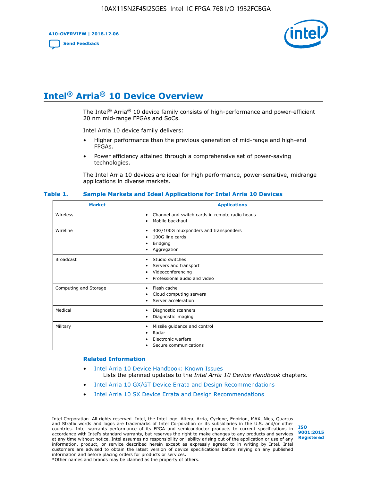**A10-OVERVIEW | 2018.12.06**

**[Send Feedback](mailto:FPGAtechdocfeedback@intel.com?subject=Feedback%20on%20Intel%20Arria%2010%20Device%20Overview%20(A10-OVERVIEW%202018.12.06)&body=We%20appreciate%20your%20feedback.%20In%20your%20comments,%20also%20specify%20the%20page%20number%20or%20paragraph.%20Thank%20you.)**



# **Intel® Arria® 10 Device Overview**

The Intel<sup>®</sup> Arria<sup>®</sup> 10 device family consists of high-performance and power-efficient 20 nm mid-range FPGAs and SoCs.

Intel Arria 10 device family delivers:

- Higher performance than the previous generation of mid-range and high-end FPGAs.
- Power efficiency attained through a comprehensive set of power-saving technologies.

The Intel Arria 10 devices are ideal for high performance, power-sensitive, midrange applications in diverse markets.

| <b>Market</b>         | <b>Applications</b>                                                                                               |
|-----------------------|-------------------------------------------------------------------------------------------------------------------|
| Wireless              | Channel and switch cards in remote radio heads<br>٠<br>Mobile backhaul<br>٠                                       |
| Wireline              | 40G/100G muxponders and transponders<br>٠<br>100G line cards<br>٠<br><b>Bridging</b><br>٠<br>Aggregation<br>٠     |
| <b>Broadcast</b>      | Studio switches<br>٠<br>Servers and transport<br>٠<br>Videoconferencing<br>٠<br>Professional audio and video<br>٠ |
| Computing and Storage | Flash cache<br>٠<br>Cloud computing servers<br>٠<br>Server acceleration<br>٠                                      |
| Medical               | Diagnostic scanners<br>٠<br>Diagnostic imaging<br>٠                                                               |
| Military              | Missile guidance and control<br>٠<br>Radar<br>٠<br>Electronic warfare<br>٠<br>Secure communications<br>٠          |

#### **Table 1. Sample Markets and Ideal Applications for Intel Arria 10 Devices**

#### **Related Information**

- [Intel Arria 10 Device Handbook: Known Issues](http://www.altera.com/support/kdb/solutions/rd07302013_646.html) Lists the planned updates to the *Intel Arria 10 Device Handbook* chapters.
- [Intel Arria 10 GX/GT Device Errata and Design Recommendations](https://www.intel.com/content/www/us/en/programmable/documentation/agz1493851706374.html#yqz1494433888646)
- [Intel Arria 10 SX Device Errata and Design Recommendations](https://www.intel.com/content/www/us/en/programmable/documentation/cru1462832385668.html#cru1462832558642)

Intel Corporation. All rights reserved. Intel, the Intel logo, Altera, Arria, Cyclone, Enpirion, MAX, Nios, Quartus and Stratix words and logos are trademarks of Intel Corporation or its subsidiaries in the U.S. and/or other countries. Intel warrants performance of its FPGA and semiconductor products to current specifications in accordance with Intel's standard warranty, but reserves the right to make changes to any products and services at any time without notice. Intel assumes no responsibility or liability arising out of the application or use of any information, product, or service described herein except as expressly agreed to in writing by Intel. Intel customers are advised to obtain the latest version of device specifications before relying on any published information and before placing orders for products or services. \*Other names and brands may be claimed as the property of others.

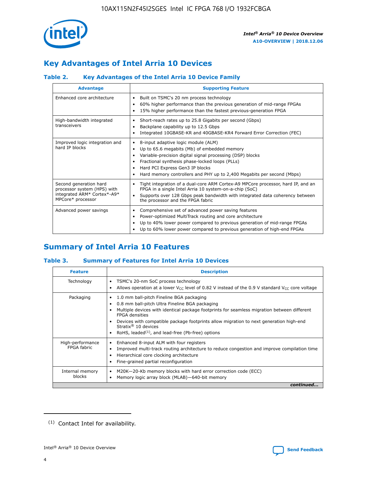

# **Key Advantages of Intel Arria 10 Devices**

## **Table 2. Key Advantages of the Intel Arria 10 Device Family**

| <b>Advantage</b>                                                                                          | <b>Supporting Feature</b>                                                                                                                                                                                                                                                                                                     |
|-----------------------------------------------------------------------------------------------------------|-------------------------------------------------------------------------------------------------------------------------------------------------------------------------------------------------------------------------------------------------------------------------------------------------------------------------------|
| Enhanced core architecture                                                                                | Built on TSMC's 20 nm process technology<br>٠<br>60% higher performance than the previous generation of mid-range FPGAs<br>٠<br>15% higher performance than the fastest previous-generation FPGA<br>٠                                                                                                                         |
| High-bandwidth integrated<br>transceivers                                                                 | Short-reach rates up to 25.8 Gigabits per second (Gbps)<br>٠<br>Backplane capability up to 12.5 Gbps<br>٠<br>Integrated 10GBASE-KR and 40GBASE-KR4 Forward Error Correction (FEC)<br>٠                                                                                                                                        |
| Improved logic integration and<br>hard IP blocks                                                          | 8-input adaptive logic module (ALM)<br>٠<br>Up to 65.6 megabits (Mb) of embedded memory<br>٠<br>Variable-precision digital signal processing (DSP) blocks<br>Fractional synthesis phase-locked loops (PLLs)<br>٠<br>Hard PCI Express Gen3 IP blocks<br>Hard memory controllers and PHY up to 2,400 Megabits per second (Mbps) |
| Second generation hard<br>processor system (HPS) with<br>integrated ARM* Cortex*-A9*<br>MPCore* processor | Tight integration of a dual-core ARM Cortex-A9 MPCore processor, hard IP, and an<br>٠<br>FPGA in a single Intel Arria 10 system-on-a-chip (SoC)<br>Supports over 128 Gbps peak bandwidth with integrated data coherency between<br>$\bullet$<br>the processor and the FPGA fabric                                             |
| Advanced power savings                                                                                    | Comprehensive set of advanced power saving features<br>٠<br>Power-optimized MultiTrack routing and core architecture<br>٠<br>Up to 40% lower power compared to previous generation of mid-range FPGAs<br>٠<br>Up to 60% lower power compared to previous generation of high-end FPGAs<br>٠                                    |

# **Summary of Intel Arria 10 Features**

## **Table 3. Summary of Features for Intel Arria 10 Devices**

| <b>Feature</b>                  | <b>Description</b>                                                                                                                                                                                                                                                                                                                                                                                           |
|---------------------------------|--------------------------------------------------------------------------------------------------------------------------------------------------------------------------------------------------------------------------------------------------------------------------------------------------------------------------------------------------------------------------------------------------------------|
| Technology                      | TSMC's 20-nm SoC process technology<br>٠<br>Allows operation at a lower $V_{CC}$ level of 0.82 V instead of the 0.9 V standard $V_{CC}$ core voltage                                                                                                                                                                                                                                                         |
| Packaging                       | 1.0 mm ball-pitch Fineline BGA packaging<br>٠<br>0.8 mm ball-pitch Ultra Fineline BGA packaging<br>Multiple devices with identical package footprints for seamless migration between different<br><b>FPGA</b> densities<br>Devices with compatible package footprints allow migration to next generation high-end<br>Stratix <sup>®</sup> 10 devices<br>RoHS, leaded $(1)$ , and lead-free (Pb-free) options |
| High-performance<br>FPGA fabric | Enhanced 8-input ALM with four registers<br>Improved multi-track routing architecture to reduce congestion and improve compilation time<br>Hierarchical core clocking architecture<br>Fine-grained partial reconfiguration                                                                                                                                                                                   |
| Internal memory<br>blocks       | M20K-20-Kb memory blocks with hard error correction code (ECC)<br>٠<br>Memory logic array block (MLAB)-640-bit memory                                                                                                                                                                                                                                                                                        |
|                                 | continued                                                                                                                                                                                                                                                                                                                                                                                                    |



<sup>(1)</sup> Contact Intel for availability.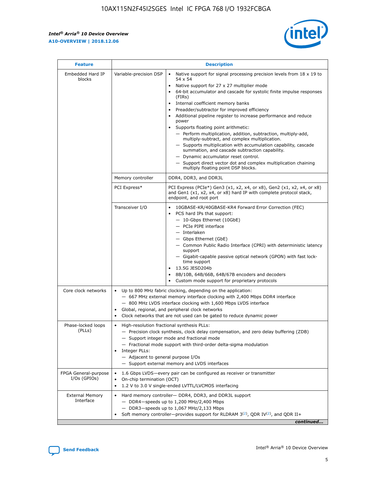r



| <b>Feature</b>                         |                                                                                                                | <b>Description</b>                                                                                                                                                                                                                                                                                                                                                                                                                                                                                                                                                                                                                                                                                                                                                                                                                     |
|----------------------------------------|----------------------------------------------------------------------------------------------------------------|----------------------------------------------------------------------------------------------------------------------------------------------------------------------------------------------------------------------------------------------------------------------------------------------------------------------------------------------------------------------------------------------------------------------------------------------------------------------------------------------------------------------------------------------------------------------------------------------------------------------------------------------------------------------------------------------------------------------------------------------------------------------------------------------------------------------------------------|
| Embedded Hard IP<br>blocks             | Variable-precision DSP                                                                                         | Native support for signal processing precision levels from $18 \times 19$ to<br>54 x 54<br>Native support for 27 x 27 multiplier mode<br>64-bit accumulator and cascade for systolic finite impulse responses<br>(FIRs)<br>Internal coefficient memory banks<br>$\bullet$<br>Preadder/subtractor for improved efficiency<br>Additional pipeline register to increase performance and reduce<br>power<br>Supports floating point arithmetic:<br>- Perform multiplication, addition, subtraction, multiply-add,<br>multiply-subtract, and complex multiplication.<br>- Supports multiplication with accumulation capability, cascade<br>summation, and cascade subtraction capability.<br>- Dynamic accumulator reset control.<br>- Support direct vector dot and complex multiplication chaining<br>multiply floating point DSP blocks. |
|                                        | Memory controller                                                                                              | DDR4, DDR3, and DDR3L                                                                                                                                                                                                                                                                                                                                                                                                                                                                                                                                                                                                                                                                                                                                                                                                                  |
|                                        | PCI Express*                                                                                                   | PCI Express (PCIe*) Gen3 (x1, x2, x4, or x8), Gen2 (x1, x2, x4, or x8)<br>and Gen1 (x1, x2, x4, or x8) hard IP with complete protocol stack,<br>endpoint, and root port                                                                                                                                                                                                                                                                                                                                                                                                                                                                                                                                                                                                                                                                |
|                                        | Transceiver I/O                                                                                                | 10GBASE-KR/40GBASE-KR4 Forward Error Correction (FEC)<br>PCS hard IPs that support:<br>$\bullet$<br>- 10-Gbps Ethernet (10GbE)<br>- PCIe PIPE interface<br>$-$ Interlaken<br>- Gbps Ethernet (GbE)<br>- Common Public Radio Interface (CPRI) with deterministic latency<br>support<br>- Gigabit-capable passive optical network (GPON) with fast lock-<br>time support<br>13.5G JESD204b<br>$\bullet$<br>8B/10B, 64B/66B, 64B/67B encoders and decoders<br>Custom mode support for proprietary protocols                                                                                                                                                                                                                                                                                                                               |
| Core clock networks                    | $\bullet$<br>$\bullet$                                                                                         | Up to 800 MHz fabric clocking, depending on the application:<br>- 667 MHz external memory interface clocking with 2,400 Mbps DDR4 interface<br>- 800 MHz LVDS interface clocking with 1,600 Mbps LVDS interface<br>Global, regional, and peripheral clock networks<br>Clock networks that are not used can be gated to reduce dynamic power                                                                                                                                                                                                                                                                                                                                                                                                                                                                                            |
| Phase-locked loops<br>(PLLs)           | High-resolution fractional synthesis PLLs:<br>$\bullet$<br>Integer PLLs:<br>- Adjacent to general purpose I/Os | - Precision clock synthesis, clock delay compensation, and zero delay buffering (ZDB)<br>- Support integer mode and fractional mode<br>- Fractional mode support with third-order delta-sigma modulation<br>- Support external memory and LVDS interfaces                                                                                                                                                                                                                                                                                                                                                                                                                                                                                                                                                                              |
| FPGA General-purpose<br>$I/Os$ (GPIOs) | On-chip termination (OCT)                                                                                      | 1.6 Gbps LVDS-every pair can be configured as receiver or transmitter<br>1.2 V to 3.0 V single-ended LVTTL/LVCMOS interfacing                                                                                                                                                                                                                                                                                                                                                                                                                                                                                                                                                                                                                                                                                                          |
| <b>External Memory</b><br>Interface    |                                                                                                                | Hard memory controller- DDR4, DDR3, and DDR3L support<br>$-$ DDR4 $-$ speeds up to 1,200 MHz/2,400 Mbps<br>- DDR3-speeds up to 1,067 MHz/2,133 Mbps<br>Soft memory controller—provides support for RLDRAM $3^{(2)}$ , QDR IV $^{(2)}$ , and QDR II+<br>continued                                                                                                                                                                                                                                                                                                                                                                                                                                                                                                                                                                       |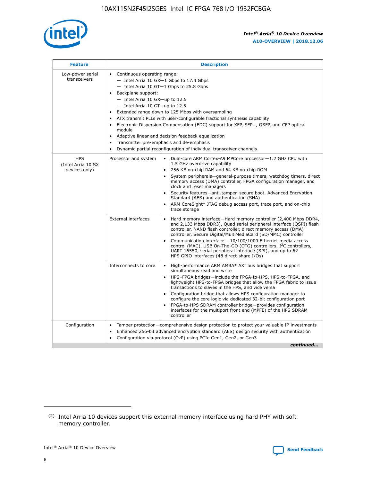

| <b>Feature</b>                                    | <b>Description</b>                                                                                                                                                                                                                                                                                                                                                                                                                                                                                                                                                                                                                           |
|---------------------------------------------------|----------------------------------------------------------------------------------------------------------------------------------------------------------------------------------------------------------------------------------------------------------------------------------------------------------------------------------------------------------------------------------------------------------------------------------------------------------------------------------------------------------------------------------------------------------------------------------------------------------------------------------------------|
| Low-power serial<br>transceivers                  | • Continuous operating range:<br>- Intel Arria 10 GX-1 Gbps to 17.4 Gbps<br>- Intel Arria 10 GT-1 Gbps to 25.8 Gbps<br>Backplane support:<br>$-$ Intel Arria 10 GX-up to 12.5<br>$-$ Intel Arria 10 GT-up to 12.5<br>Extended range down to 125 Mbps with oversampling<br>ATX transmit PLLs with user-configurable fractional synthesis capability<br>Electronic Dispersion Compensation (EDC) support for XFP, SFP+, QSFP, and CFP optical<br>module<br>• Adaptive linear and decision feedback equalization<br>Transmitter pre-emphasis and de-emphasis<br>$\bullet$<br>Dynamic partial reconfiguration of individual transceiver channels |
| <b>HPS</b><br>(Intel Arria 10 SX<br>devices only) | Dual-core ARM Cortex-A9 MPCore processor-1.2 GHz CPU with<br>Processor and system<br>$\bullet$<br>1.5 GHz overdrive capability<br>256 KB on-chip RAM and 64 KB on-chip ROM<br>System peripherals-general-purpose timers, watchdog timers, direct<br>memory access (DMA) controller, FPGA configuration manager, and<br>clock and reset managers<br>Security features-anti-tamper, secure boot, Advanced Encryption<br>$\bullet$<br>Standard (AES) and authentication (SHA)<br>ARM CoreSight* JTAG debug access port, trace port, and on-chip<br>trace storage                                                                                |
|                                                   | <b>External interfaces</b><br>Hard memory interface-Hard memory controller (2,400 Mbps DDR4,<br>$\bullet$<br>and 2,133 Mbps DDR3), Quad serial peripheral interface (QSPI) flash<br>controller, NAND flash controller, direct memory access (DMA)<br>controller, Secure Digital/MultiMediaCard (SD/MMC) controller<br>Communication interface-10/100/1000 Ethernet media access<br>$\bullet$<br>control (MAC), USB On-The-GO (OTG) controllers, I <sup>2</sup> C controllers,<br>UART 16550, serial peripheral interface (SPI), and up to 62<br>HPS GPIO interfaces (48 direct-share I/Os)                                                   |
|                                                   | High-performance ARM AMBA* AXI bus bridges that support<br>Interconnects to core<br>$\bullet$<br>simultaneous read and write<br>HPS-FPGA bridges-include the FPGA-to-HPS, HPS-to-FPGA, and<br>$\bullet$<br>lightweight HPS-to-FPGA bridges that allow the FPGA fabric to issue<br>transactions to slaves in the HPS, and vice versa<br>Configuration bridge that allows HPS configuration manager to<br>configure the core logic via dedicated 32-bit configuration port<br>FPGA-to-HPS SDRAM controller bridge-provides configuration<br>interfaces for the multiport front end (MPFE) of the HPS SDRAM<br>controller                       |
| Configuration                                     | Tamper protection—comprehensive design protection to protect your valuable IP investments<br>Enhanced 256-bit advanced encryption standard (AES) design security with authentication<br>٠<br>Configuration via protocol (CvP) using PCIe Gen1, Gen2, or Gen3<br>continued                                                                                                                                                                                                                                                                                                                                                                    |

<sup>(2)</sup> Intel Arria 10 devices support this external memory interface using hard PHY with soft memory controller.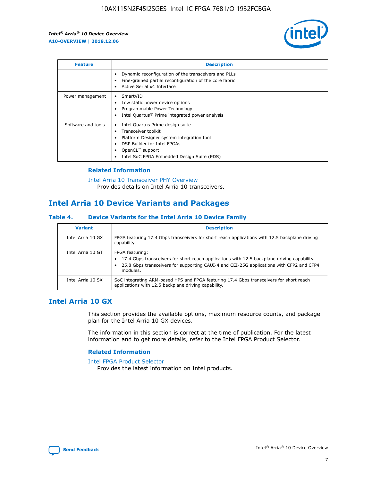

| <b>Feature</b>     | <b>Description</b>                                                                                                                                                                                                    |
|--------------------|-----------------------------------------------------------------------------------------------------------------------------------------------------------------------------------------------------------------------|
|                    | Dynamic reconfiguration of the transceivers and PLLs<br>Fine-grained partial reconfiguration of the core fabric<br>Active Serial x4 Interface                                                                         |
| Power management   | SmartVID<br>Low static power device options<br>Programmable Power Technology<br>Intel Quartus <sup>®</sup> Prime integrated power analysis                                                                            |
| Software and tools | Intel Quartus Prime design suite<br>Transceiver toolkit<br>٠<br>Platform Designer system integration tool<br>DSP Builder for Intel FPGAs<br>OpenCL <sup>™</sup> support<br>Intel SoC FPGA Embedded Design Suite (EDS) |

## **Related Information**

[Intel Arria 10 Transceiver PHY Overview](https://www.intel.com/content/www/us/en/programmable/documentation/nik1398707230472.html#nik1398706768037) Provides details on Intel Arria 10 transceivers.

## **Intel Arria 10 Device Variants and Packages**

#### **Table 4. Device Variants for the Intel Arria 10 Device Family**

| <b>Variant</b>    | <b>Description</b>                                                                                                                                                                                                     |
|-------------------|------------------------------------------------------------------------------------------------------------------------------------------------------------------------------------------------------------------------|
| Intel Arria 10 GX | FPGA featuring 17.4 Gbps transceivers for short reach applications with 12.5 backplane driving<br>capability.                                                                                                          |
| Intel Arria 10 GT | FPGA featuring:<br>17.4 Gbps transceivers for short reach applications with 12.5 backplane driving capability.<br>25.8 Gbps transceivers for supporting CAUI-4 and CEI-25G applications with CFP2 and CFP4<br>modules. |
| Intel Arria 10 SX | SoC integrating ARM-based HPS and FPGA featuring 17.4 Gbps transceivers for short reach<br>applications with 12.5 backplane driving capability.                                                                        |

## **Intel Arria 10 GX**

This section provides the available options, maximum resource counts, and package plan for the Intel Arria 10 GX devices.

The information in this section is correct at the time of publication. For the latest information and to get more details, refer to the Intel FPGA Product Selector.

#### **Related Information**

#### [Intel FPGA Product Selector](http://www.altera.com/products/selector/psg-selector.html) Provides the latest information on Intel products.

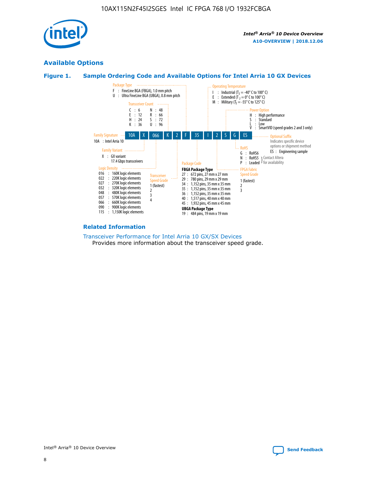

## **Available Options**





#### **Related Information**

[Transceiver Performance for Intel Arria 10 GX/SX Devices](https://www.intel.com/content/www/us/en/programmable/documentation/mcn1413182292568.html#mcn1413213965502) Provides more information about the transceiver speed grade.

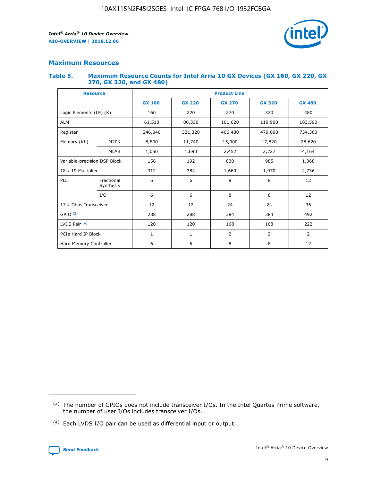

## **Maximum Resources**

#### **Table 5. Maximum Resource Counts for Intel Arria 10 GX Devices (GX 160, GX 220, GX 270, GX 320, and GX 480)**

| <b>Resource</b>              |                         | <b>Product Line</b> |                                                 |                |                |                |  |  |  |
|------------------------------|-------------------------|---------------------|-------------------------------------------------|----------------|----------------|----------------|--|--|--|
|                              |                         | <b>GX 160</b>       | <b>GX 220</b><br><b>GX 270</b><br><b>GX 320</b> |                |                | <b>GX 480</b>  |  |  |  |
| Logic Elements (LE) (K)      |                         | 160                 | 220                                             | 270            | 320            | 480            |  |  |  |
| <b>ALM</b>                   |                         | 61,510              | 80,330                                          | 101,620        | 119,900        | 183,590        |  |  |  |
| Register                     |                         | 246,040             | 321,320                                         | 406,480        | 479,600        | 734,360        |  |  |  |
| Memory (Kb)                  | M <sub>20</sub> K       | 8,800               | 11,740                                          | 15,000         | 17,820         | 28,620         |  |  |  |
|                              | <b>MLAB</b>             | 1,050               | 1,690                                           | 2,452<br>2,727 |                | 4,164          |  |  |  |
| Variable-precision DSP Block |                         | 156                 | 192                                             | 985<br>830     |                | 1,368          |  |  |  |
| 18 x 19 Multiplier           |                         | 312                 | 384                                             | 1,660<br>1,970 |                | 2,736          |  |  |  |
| PLL                          | Fractional<br>Synthesis | 6                   | 6                                               | 8              | 8              | 12             |  |  |  |
|                              | I/O                     | 6                   | 6                                               | 8              | 8              | 12             |  |  |  |
| 17.4 Gbps Transceiver        |                         | 12                  | 12                                              | 24             | 24             | 36             |  |  |  |
| GPIO <sup>(3)</sup>          |                         | 288                 | 288                                             | 384<br>384     |                | 492            |  |  |  |
| LVDS Pair $(4)$              |                         | 120                 | 120                                             | 168            | 168            | 222            |  |  |  |
| PCIe Hard IP Block           |                         | $\mathbf{1}$        | 1                                               | $\overline{2}$ | $\overline{2}$ | $\overline{2}$ |  |  |  |
| Hard Memory Controller       |                         | 6                   | 6                                               | 8              | 8              | 12             |  |  |  |

<sup>(4)</sup> Each LVDS I/O pair can be used as differential input or output.



<sup>(3)</sup> The number of GPIOs does not include transceiver I/Os. In the Intel Quartus Prime software, the number of user I/Os includes transceiver I/Os.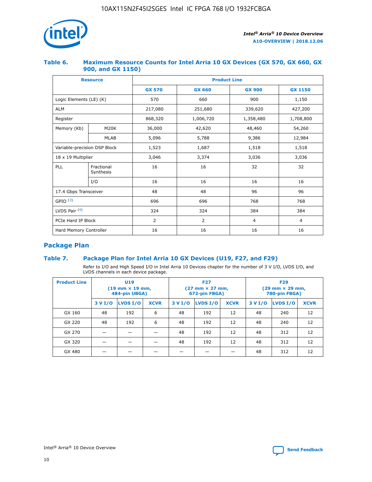

## **Table 6. Maximum Resource Counts for Intel Arria 10 GX Devices (GX 570, GX 660, GX 900, and GX 1150)**

|                              | <b>Resource</b>         | <b>Product Line</b> |                |                |                |  |  |  |  |
|------------------------------|-------------------------|---------------------|----------------|----------------|----------------|--|--|--|--|
|                              |                         | <b>GX 570</b>       | <b>GX 660</b>  | <b>GX 900</b>  | <b>GX 1150</b> |  |  |  |  |
| Logic Elements (LE) (K)      |                         | 570                 | 660            | 900            | 1,150          |  |  |  |  |
| <b>ALM</b>                   |                         | 217,080             | 251,680        | 339,620        | 427,200        |  |  |  |  |
| Register                     |                         | 868,320             | 1,006,720      | 1,358,480      | 1,708,800      |  |  |  |  |
| Memory (Kb)                  | <b>M20K</b>             | 36,000              | 42,620         | 48,460         | 54,260         |  |  |  |  |
|                              | <b>MLAB</b>             | 5,096               | 5,788          | 9,386          | 12,984         |  |  |  |  |
| Variable-precision DSP Block |                         | 1,523               | 1,687          | 1,518          | 1,518          |  |  |  |  |
| $18 \times 19$ Multiplier    |                         | 3,046               | 3,374          | 3,036          | 3,036          |  |  |  |  |
| PLL                          | Fractional<br>Synthesis | 16                  | 16             | 32             | 32             |  |  |  |  |
|                              | I/O                     | 16                  | 16             | 16             | 16             |  |  |  |  |
| 17.4 Gbps Transceiver        |                         | 48                  | 48             | 96             | 96             |  |  |  |  |
| GPIO <sup>(3)</sup>          |                         | 696                 | 696            | 768            | 768            |  |  |  |  |
| LVDS Pair $(4)$              |                         | 324                 | 324<br>384     |                | 384            |  |  |  |  |
| PCIe Hard IP Block           |                         | 2                   | $\overline{2}$ | $\overline{4}$ | 4              |  |  |  |  |
| Hard Memory Controller       |                         | 16                  | 16             | 16             | 16             |  |  |  |  |

## **Package Plan**

## **Table 7. Package Plan for Intel Arria 10 GX Devices (U19, F27, and F29)**

Refer to I/O and High Speed I/O in Intel Arria 10 Devices chapter for the number of 3 V I/O, LVDS I/O, and LVDS channels in each device package.

| <b>Product Line</b> | U <sub>19</sub><br>$(19 \text{ mm} \times 19 \text{ mm})$<br>484-pin UBGA) |          |             |         | <b>F27</b><br>(27 mm × 27 mm,<br>672-pin FBGA) |             | <b>F29</b><br>(29 mm × 29 mm,<br>780-pin FBGA) |          |             |  |
|---------------------|----------------------------------------------------------------------------|----------|-------------|---------|------------------------------------------------|-------------|------------------------------------------------|----------|-------------|--|
|                     | 3 V I/O                                                                    | LVDS I/O | <b>XCVR</b> | 3 V I/O | <b>LVDS I/O</b>                                | <b>XCVR</b> | 3 V I/O                                        | LVDS I/O | <b>XCVR</b> |  |
| GX 160              | 48                                                                         | 192      | 6           | 48      | 192                                            | 12          | 48                                             | 240      | 12          |  |
| GX 220              | 48                                                                         | 192      | 6           | 48      | 192                                            | 12          | 48                                             | 240      | 12          |  |
| GX 270              |                                                                            |          |             | 48      | 192                                            | 12          | 48                                             | 312      | 12          |  |
| GX 320              |                                                                            |          |             | 48      | 192                                            | 12          | 48                                             | 312      | 12          |  |
| GX 480              |                                                                            |          |             |         |                                                |             | 48                                             | 312      | 12          |  |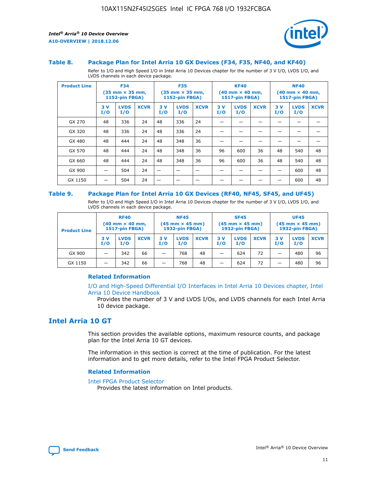

#### **Table 8. Package Plan for Intel Arria 10 GX Devices (F34, F35, NF40, and KF40)**

Refer to I/O and High Speed I/O in Intel Arria 10 Devices chapter for the number of 3 V I/O, LVDS I/O, and LVDS channels in each device package.

| <b>Product Line</b> | <b>F34</b><br>$(35 \text{ mm} \times 35 \text{ mm})$<br><b>1152-pin FBGA)</b> |                    | <b>F35</b><br>$(35 \text{ mm} \times 35 \text{ mm})$<br><b>1152-pin FBGA)</b> |           | <b>KF40</b><br>$(40$ mm $\times$ 40 mm,<br><b>1517-pin FBGA)</b> |             |           | <b>NF40</b><br>$(40 \text{ mm} \times 40 \text{ mm})$<br>1517-pin FBGA) |             |           |                    |             |
|---------------------|-------------------------------------------------------------------------------|--------------------|-------------------------------------------------------------------------------|-----------|------------------------------------------------------------------|-------------|-----------|-------------------------------------------------------------------------|-------------|-----------|--------------------|-------------|
|                     | 3V<br>I/O                                                                     | <b>LVDS</b><br>I/O | <b>XCVR</b>                                                                   | 3V<br>I/O | <b>LVDS</b><br>I/O                                               | <b>XCVR</b> | 3V<br>I/O | <b>LVDS</b><br>I/O                                                      | <b>XCVR</b> | 3V<br>I/O | <b>LVDS</b><br>I/O | <b>XCVR</b> |
| GX 270              | 48                                                                            | 336                | 24                                                                            | 48        | 336                                                              | 24          |           |                                                                         |             |           |                    |             |
| GX 320              | 48                                                                            | 336                | 24                                                                            | 48        | 336                                                              | 24          |           |                                                                         |             |           |                    |             |
| GX 480              | 48                                                                            | 444                | 24                                                                            | 48        | 348                                                              | 36          |           |                                                                         |             |           |                    |             |
| GX 570              | 48                                                                            | 444                | 24                                                                            | 48        | 348                                                              | 36          | 96        | 600                                                                     | 36          | 48        | 540                | 48          |
| GX 660              | 48                                                                            | 444                | 24                                                                            | 48        | 348                                                              | 36          | 96        | 600                                                                     | 36          | 48        | 540                | 48          |
| GX 900              |                                                                               | 504                | 24                                                                            | –         |                                                                  | -           |           |                                                                         |             |           | 600                | 48          |
| GX 1150             |                                                                               | 504                | 24                                                                            |           |                                                                  |             |           |                                                                         |             |           | 600                | 48          |

#### **Table 9. Package Plan for Intel Arria 10 GX Devices (RF40, NF45, SF45, and UF45)**

Refer to I/O and High Speed I/O in Intel Arria 10 Devices chapter for the number of 3 V I/O, LVDS I/O, and LVDS channels in each device package.

| <b>Product Line</b> | <b>RF40</b><br>$(40$ mm $\times$ 40 mm,<br>1517-pin FBGA) |                    |             | <b>NF45</b><br>$(45 \text{ mm} \times 45 \text{ mm})$<br><b>1932-pin FBGA)</b> |                    |             | <b>SF45</b><br>$(45 \text{ mm} \times 45 \text{ mm})$<br><b>1932-pin FBGA)</b> |                    |             | <b>UF45</b><br>$(45 \text{ mm} \times 45 \text{ mm})$<br><b>1932-pin FBGA)</b> |                    |             |
|---------------------|-----------------------------------------------------------|--------------------|-------------|--------------------------------------------------------------------------------|--------------------|-------------|--------------------------------------------------------------------------------|--------------------|-------------|--------------------------------------------------------------------------------|--------------------|-------------|
|                     | 3V<br>I/O                                                 | <b>LVDS</b><br>I/O | <b>XCVR</b> | 3 V<br>I/O                                                                     | <b>LVDS</b><br>I/O | <b>XCVR</b> | 3 V<br>I/O                                                                     | <b>LVDS</b><br>I/O | <b>XCVR</b> | 3V<br>I/O                                                                      | <b>LVDS</b><br>I/O | <b>XCVR</b> |
| GX 900              |                                                           | 342                | 66          | _                                                                              | 768                | 48          |                                                                                | 624                | 72          |                                                                                | 480                | 96          |
| GX 1150             |                                                           | 342                | 66          | _                                                                              | 768                | 48          |                                                                                | 624                | 72          |                                                                                | 480                | 96          |

#### **Related Information**

[I/O and High-Speed Differential I/O Interfaces in Intel Arria 10 Devices chapter, Intel](https://www.intel.com/content/www/us/en/programmable/documentation/sam1403482614086.html#sam1403482030321) [Arria 10 Device Handbook](https://www.intel.com/content/www/us/en/programmable/documentation/sam1403482614086.html#sam1403482030321)

Provides the number of 3 V and LVDS I/Os, and LVDS channels for each Intel Arria 10 device package.

## **Intel Arria 10 GT**

This section provides the available options, maximum resource counts, and package plan for the Intel Arria 10 GT devices.

The information in this section is correct at the time of publication. For the latest information and to get more details, refer to the Intel FPGA Product Selector.

#### **Related Information**

#### [Intel FPGA Product Selector](http://www.altera.com/products/selector/psg-selector.html)

Provides the latest information on Intel products.

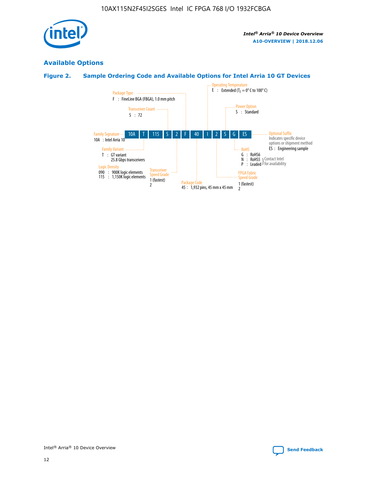

## **Available Options**

## **Figure 2. Sample Ordering Code and Available Options for Intel Arria 10 GT Devices**

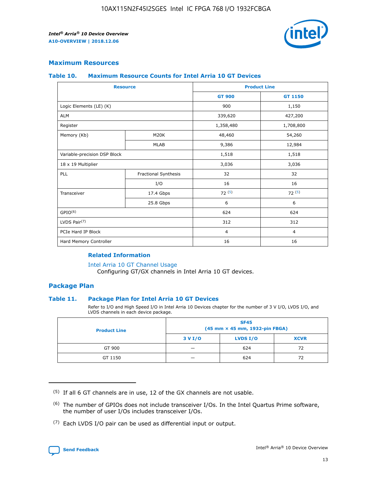

## **Maximum Resources**

#### **Table 10. Maximum Resource Counts for Intel Arria 10 GT Devices**

| <b>Resource</b>              |                      | <b>Product Line</b> |                |  |
|------------------------------|----------------------|---------------------|----------------|--|
|                              |                      | <b>GT 900</b>       | <b>GT 1150</b> |  |
| Logic Elements (LE) (K)      |                      | 900                 | 1,150          |  |
| <b>ALM</b>                   |                      | 339,620             | 427,200        |  |
| Register                     |                      | 1,358,480           | 1,708,800      |  |
| Memory (Kb)                  | M20K                 | 48,460              | 54,260         |  |
|                              | <b>MLAB</b>          | 9,386               | 12,984         |  |
| Variable-precision DSP Block |                      | 1,518               | 1,518          |  |
| 18 x 19 Multiplier           |                      | 3,036               | 3,036          |  |
| PLL                          | Fractional Synthesis | 32                  | 32             |  |
|                              | I/O                  | 16                  | 16             |  |
| Transceiver                  | 17.4 Gbps            | 72(5)               | 72(5)          |  |
|                              | 25.8 Gbps            | 6                   | 6              |  |
| GPIO <sup>(6)</sup>          |                      | 624                 | 624            |  |
| LVDS Pair $(7)$              |                      | 312                 | 312            |  |
| PCIe Hard IP Block           |                      | $\overline{4}$      | $\overline{4}$ |  |
| Hard Memory Controller       |                      | 16                  | 16             |  |

#### **Related Information**

#### [Intel Arria 10 GT Channel Usage](https://www.intel.com/content/www/us/en/programmable/documentation/nik1398707230472.html#nik1398707008178)

Configuring GT/GX channels in Intel Arria 10 GT devices.

## **Package Plan**

#### **Table 11. Package Plan for Intel Arria 10 GT Devices**

Refer to I/O and High Speed I/O in Intel Arria 10 Devices chapter for the number of 3 V I/O, LVDS I/O, and LVDS channels in each device package.

| <b>Product Line</b> | <b>SF45</b><br>(45 mm × 45 mm, 1932-pin FBGA) |                 |             |  |  |  |
|---------------------|-----------------------------------------------|-----------------|-------------|--|--|--|
|                     | 3 V I/O                                       | <b>LVDS I/O</b> | <b>XCVR</b> |  |  |  |
| GT 900              |                                               | 624             | 72          |  |  |  |
| GT 1150             |                                               | 624             | 72          |  |  |  |

<sup>(7)</sup> Each LVDS I/O pair can be used as differential input or output.



 $(5)$  If all 6 GT channels are in use, 12 of the GX channels are not usable.

<sup>(6)</sup> The number of GPIOs does not include transceiver I/Os. In the Intel Quartus Prime software, the number of user I/Os includes transceiver I/Os.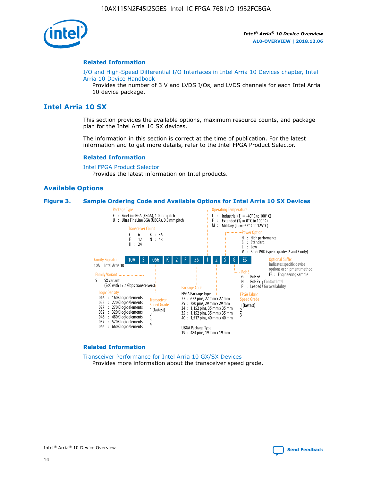

#### **Related Information**

[I/O and High-Speed Differential I/O Interfaces in Intel Arria 10 Devices chapter, Intel](https://www.intel.com/content/www/us/en/programmable/documentation/sam1403482614086.html#sam1403482030321) [Arria 10 Device Handbook](https://www.intel.com/content/www/us/en/programmable/documentation/sam1403482614086.html#sam1403482030321)

Provides the number of 3 V and LVDS I/Os, and LVDS channels for each Intel Arria 10 device package.

## **Intel Arria 10 SX**

This section provides the available options, maximum resource counts, and package plan for the Intel Arria 10 SX devices.

The information in this section is correct at the time of publication. For the latest information and to get more details, refer to the Intel FPGA Product Selector.

#### **Related Information**

[Intel FPGA Product Selector](http://www.altera.com/products/selector/psg-selector.html) Provides the latest information on Intel products.

#### **Available Options**

#### **Figure 3. Sample Ordering Code and Available Options for Intel Arria 10 SX Devices**



#### **Related Information**

[Transceiver Performance for Intel Arria 10 GX/SX Devices](https://www.intel.com/content/www/us/en/programmable/documentation/mcn1413182292568.html#mcn1413213965502) Provides more information about the transceiver speed grade.

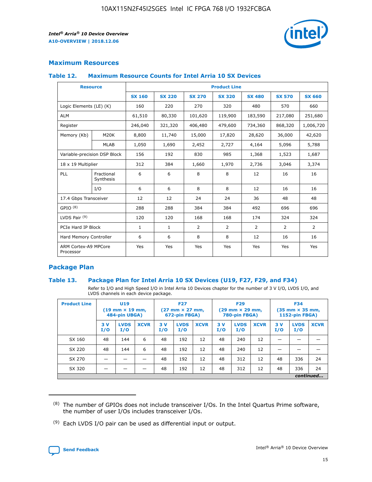

## **Maximum Resources**

#### **Table 12. Maximum Resource Counts for Intel Arria 10 SX Devices**

|                                   | <b>Resource</b>         | <b>Product Line</b> |               |                |                |                |                |                |  |  |  |
|-----------------------------------|-------------------------|---------------------|---------------|----------------|----------------|----------------|----------------|----------------|--|--|--|
|                                   |                         | <b>SX 160</b>       | <b>SX 220</b> | <b>SX 270</b>  | <b>SX 320</b>  | <b>SX 480</b>  | <b>SX 570</b>  | <b>SX 660</b>  |  |  |  |
| Logic Elements (LE) (K)           |                         | 160                 | 220           | 270            | 320            | 480            | 570            | 660            |  |  |  |
| <b>ALM</b>                        |                         | 61,510              | 80,330        | 101,620        | 119,900        | 183,590        | 217,080        | 251,680        |  |  |  |
| Register                          |                         | 246,040             | 321,320       | 406,480        | 479,600        | 734,360        | 868,320        | 1,006,720      |  |  |  |
| Memory (Kb)                       | M <sub>20</sub> K       | 8,800               | 11,740        | 15,000         | 17,820         | 28,620         | 36,000         | 42,620         |  |  |  |
|                                   | <b>MLAB</b>             | 1,050               | 1,690         | 2,452          | 2,727          | 4,164          | 5,096          | 5,788          |  |  |  |
| Variable-precision DSP Block      |                         | 156                 | 192           | 830            | 985            | 1,368          | 1,523          | 1,687          |  |  |  |
| 18 x 19 Multiplier                |                         | 312                 | 384           | 1,660          | 1,970          | 2,736          | 3,046          | 3,374          |  |  |  |
| <b>PLL</b>                        | Fractional<br>Synthesis | 6                   | 6             | 8              | 8              | 12             | 16             | 16             |  |  |  |
|                                   | I/O                     | 6                   | 6             | 8              | 8              | 12             | 16             | 16             |  |  |  |
| 17.4 Gbps Transceiver             |                         | 12                  | 12            | 24             | 24             | 36             | 48             | 48             |  |  |  |
| GPIO <sup>(8)</sup>               |                         | 288                 | 288           | 384            | 384            | 492            | 696            | 696            |  |  |  |
| LVDS Pair $(9)$                   |                         | 120                 | 120           | 168            | 168            | 174            | 324            | 324            |  |  |  |
| PCIe Hard IP Block                |                         | $\mathbf{1}$        | $\mathbf{1}$  | $\overline{2}$ | $\overline{2}$ | $\overline{2}$ | $\overline{2}$ | $\overline{2}$ |  |  |  |
| Hard Memory Controller            |                         | 6                   | 6             | 8              | 8              | 12             | 16             | 16             |  |  |  |
| ARM Cortex-A9 MPCore<br>Processor |                         | Yes                 | Yes           | Yes            | Yes            | Yes            | Yes            | Yes            |  |  |  |

## **Package Plan**

#### **Table 13. Package Plan for Intel Arria 10 SX Devices (U19, F27, F29, and F34)**

Refer to I/O and High Speed I/O in Intel Arria 10 Devices chapter for the number of 3 V I/O, LVDS I/O, and LVDS channels in each device package.

| <b>Product Line</b> | <b>U19</b><br>$(19 \text{ mm} \times 19 \text{ mm})$<br>484-pin UBGA) |                    | <b>F27</b><br>$(27 \text{ mm} \times 27 \text{ mm})$<br>672-pin FBGA) |           | <b>F29</b><br>$(29$ mm $\times$ 29 mm,<br>780-pin FBGA) |             |            | <b>F34</b><br>$(35 \text{ mm} \times 35 \text{ mm})$<br>1152-pin FBGA) |             |           |                    |             |
|---------------------|-----------------------------------------------------------------------|--------------------|-----------------------------------------------------------------------|-----------|---------------------------------------------------------|-------------|------------|------------------------------------------------------------------------|-------------|-----------|--------------------|-------------|
|                     | 3V<br>I/O                                                             | <b>LVDS</b><br>I/O | <b>XCVR</b>                                                           | 3V<br>I/O | <b>LVDS</b><br>I/O                                      | <b>XCVR</b> | 3 V<br>I/O | <b>LVDS</b><br>I/O                                                     | <b>XCVR</b> | 3V<br>I/O | <b>LVDS</b><br>I/O | <b>XCVR</b> |
| SX 160              | 48                                                                    | 144                | 6                                                                     | 48        | 192                                                     | 12          | 48         | 240                                                                    | 12          | –         |                    |             |
| SX 220              | 48                                                                    | 144                | 6                                                                     | 48        | 192                                                     | 12          | 48         | 240                                                                    | 12          |           |                    |             |
| SX 270              |                                                                       |                    |                                                                       | 48        | 192                                                     | 12          | 48         | 312                                                                    | 12          | 48        | 336                | 24          |
| SX 320              |                                                                       |                    |                                                                       | 48        | 192                                                     | 12          | 48         | 312                                                                    | 12          | 48        | 336                | 24          |
|                     | continued                                                             |                    |                                                                       |           |                                                         |             |            |                                                                        |             |           |                    |             |

 $(8)$  The number of GPIOs does not include transceiver I/Os. In the Intel Quartus Prime software, the number of user I/Os includes transceiver I/Os.

 $(9)$  Each LVDS I/O pair can be used as differential input or output.

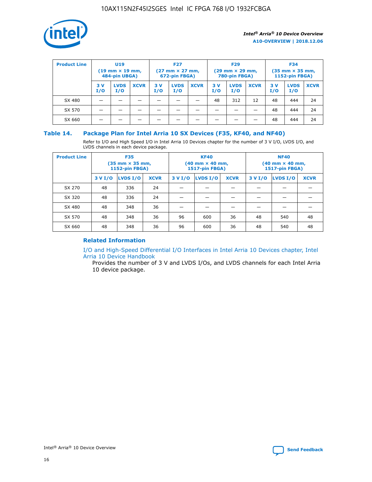

| <b>Product Line</b> | U <sub>19</sub><br>$(19 \text{ mm} \times 19 \text{ mm})$<br>484-pin UBGA) |                    | <b>F27</b><br>$(27 \text{ mm} \times 27 \text{ mm})$<br>672-pin FBGA) |           | <b>F29</b><br>$(29$ mm $\times$ 29 mm,<br>780-pin FBGA) |             |           | <b>F34</b><br>$(35$ mm $\times$ 35 mm,<br><b>1152-pin FBGA)</b> |             |            |                    |             |
|---------------------|----------------------------------------------------------------------------|--------------------|-----------------------------------------------------------------------|-----------|---------------------------------------------------------|-------------|-----------|-----------------------------------------------------------------|-------------|------------|--------------------|-------------|
|                     | 3 V<br>I/O                                                                 | <b>LVDS</b><br>I/O | <b>XCVR</b>                                                           | 3V<br>I/O | <b>LVDS</b><br>I/O                                      | <b>XCVR</b> | 3V<br>I/O | <b>LVDS</b><br>I/O                                              | <b>XCVR</b> | 3 V<br>I/O | <b>LVDS</b><br>I/O | <b>XCVR</b> |
| SX 480              |                                                                            |                    |                                                                       |           |                                                         |             | 48        | 312                                                             | 12          | 48         | 444                | 24          |
| SX 570              |                                                                            |                    |                                                                       |           |                                                         |             |           |                                                                 |             | 48         | 444                | 24          |
| SX 660              |                                                                            |                    |                                                                       |           |                                                         |             |           |                                                                 |             | 48         | 444                | 24          |

## **Table 14. Package Plan for Intel Arria 10 SX Devices (F35, KF40, and NF40)**

Refer to I/O and High Speed I/O in Intel Arria 10 Devices chapter for the number of 3 V I/O, LVDS I/O, and LVDS channels in each device package.

| <b>Product Line</b> | <b>F35</b><br>$(35 \text{ mm} \times 35 \text{ mm})$<br><b>1152-pin FBGA)</b> |          |             |                                           | <b>KF40</b><br>(40 mm × 40 mm,<br>1517-pin FBGA) |    | <b>NF40</b><br>$(40 \text{ mm} \times 40 \text{ mm})$<br>1517-pin FBGA) |          |             |  |
|---------------------|-------------------------------------------------------------------------------|----------|-------------|-------------------------------------------|--------------------------------------------------|----|-------------------------------------------------------------------------|----------|-------------|--|
|                     | 3 V I/O                                                                       | LVDS I/O | <b>XCVR</b> | <b>LVDS I/O</b><br><b>XCVR</b><br>3 V I/O |                                                  |    | 3 V I/O                                                                 | LVDS I/O | <b>XCVR</b> |  |
| SX 270              | 48                                                                            | 336      | 24          |                                           |                                                  |    |                                                                         |          |             |  |
| SX 320              | 48                                                                            | 336      | 24          |                                           |                                                  |    |                                                                         |          |             |  |
| SX 480              | 48                                                                            | 348      | 36          |                                           |                                                  |    |                                                                         |          |             |  |
| SX 570              | 48                                                                            | 348      | 36          | 96                                        | 600                                              | 36 | 48                                                                      | 540      | 48          |  |
| SX 660              | 48                                                                            | 348      | 36          | 96                                        | 600                                              | 36 | 48                                                                      | 540      | 48          |  |

## **Related Information**

[I/O and High-Speed Differential I/O Interfaces in Intel Arria 10 Devices chapter, Intel](https://www.intel.com/content/www/us/en/programmable/documentation/sam1403482614086.html#sam1403482030321) [Arria 10 Device Handbook](https://www.intel.com/content/www/us/en/programmable/documentation/sam1403482614086.html#sam1403482030321)

Provides the number of 3 V and LVDS I/Os, and LVDS channels for each Intel Arria 10 device package.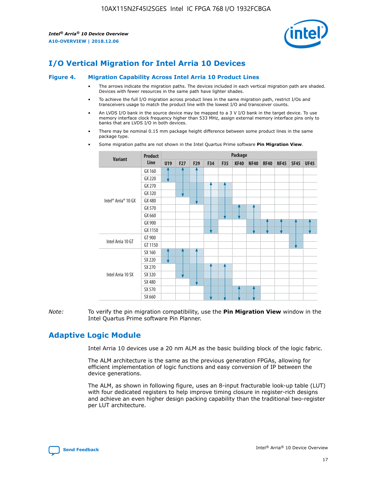

# **I/O Vertical Migration for Intel Arria 10 Devices**

#### **Figure 4. Migration Capability Across Intel Arria 10 Product Lines**

- The arrows indicate the migration paths. The devices included in each vertical migration path are shaded. Devices with fewer resources in the same path have lighter shades.
- To achieve the full I/O migration across product lines in the same migration path, restrict I/Os and transceivers usage to match the product line with the lowest I/O and transceiver counts.
- An LVDS I/O bank in the source device may be mapped to a 3 V I/O bank in the target device. To use memory interface clock frequency higher than 533 MHz, assign external memory interface pins only to banks that are LVDS I/O in both devices.
- There may be nominal 0.15 mm package height difference between some product lines in the same package type.
	- **Variant Product Line Package U19 F27 F29 F34 F35 KF40 NF40 RF40 NF45 SF45 UF45** Intel® Arria® 10 GX GX 160 GX 220 GX 270 GX 320 GX 480 GX 570 GX 660 GX 900 GX 1150 Intel Arria 10 GT GT 900 GT 1150 Intel Arria 10 SX SX 160 SX 220 SX 270 SX 320 SX 480 SX 570 SX 660
- Some migration paths are not shown in the Intel Quartus Prime software **Pin Migration View**.

*Note:* To verify the pin migration compatibility, use the **Pin Migration View** window in the Intel Quartus Prime software Pin Planner.

## **Adaptive Logic Module**

Intel Arria 10 devices use a 20 nm ALM as the basic building block of the logic fabric.

The ALM architecture is the same as the previous generation FPGAs, allowing for efficient implementation of logic functions and easy conversion of IP between the device generations.

The ALM, as shown in following figure, uses an 8-input fracturable look-up table (LUT) with four dedicated registers to help improve timing closure in register-rich designs and achieve an even higher design packing capability than the traditional two-register per LUT architecture.

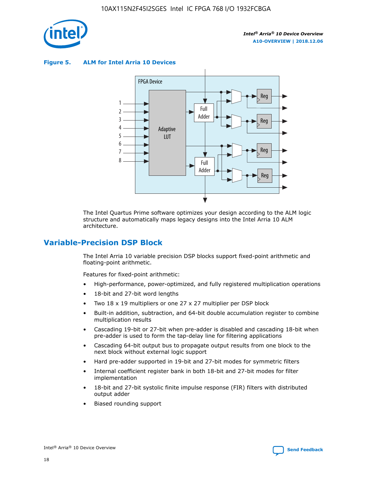

**Figure 5. ALM for Intel Arria 10 Devices**



The Intel Quartus Prime software optimizes your design according to the ALM logic structure and automatically maps legacy designs into the Intel Arria 10 ALM architecture.

## **Variable-Precision DSP Block**

The Intel Arria 10 variable precision DSP blocks support fixed-point arithmetic and floating-point arithmetic.

Features for fixed-point arithmetic:

- High-performance, power-optimized, and fully registered multiplication operations
- 18-bit and 27-bit word lengths
- Two 18 x 19 multipliers or one 27 x 27 multiplier per DSP block
- Built-in addition, subtraction, and 64-bit double accumulation register to combine multiplication results
- Cascading 19-bit or 27-bit when pre-adder is disabled and cascading 18-bit when pre-adder is used to form the tap-delay line for filtering applications
- Cascading 64-bit output bus to propagate output results from one block to the next block without external logic support
- Hard pre-adder supported in 19-bit and 27-bit modes for symmetric filters
- Internal coefficient register bank in both 18-bit and 27-bit modes for filter implementation
- 18-bit and 27-bit systolic finite impulse response (FIR) filters with distributed output adder
- Biased rounding support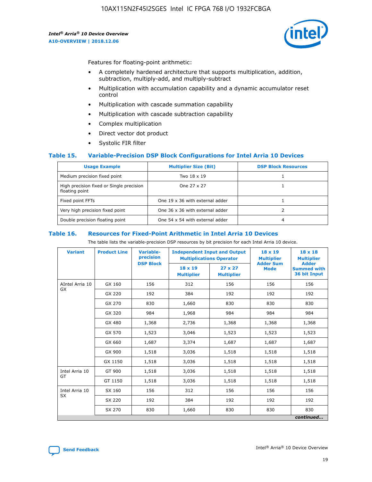

Features for floating-point arithmetic:

- A completely hardened architecture that supports multiplication, addition, subtraction, multiply-add, and multiply-subtract
- Multiplication with accumulation capability and a dynamic accumulator reset control
- Multiplication with cascade summation capability
- Multiplication with cascade subtraction capability
- Complex multiplication
- Direct vector dot product
- Systolic FIR filter

#### **Table 15. Variable-Precision DSP Block Configurations for Intel Arria 10 Devices**

| <b>Usage Example</b>                                       | <b>Multiplier Size (Bit)</b>    | <b>DSP Block Resources</b> |
|------------------------------------------------------------|---------------------------------|----------------------------|
| Medium precision fixed point                               | Two 18 x 19                     |                            |
| High precision fixed or Single precision<br>floating point | One 27 x 27                     |                            |
| Fixed point FFTs                                           | One 19 x 36 with external adder |                            |
| Very high precision fixed point                            | One 36 x 36 with external adder |                            |
| Double precision floating point                            | One 54 x 54 with external adder | 4                          |

#### **Table 16. Resources for Fixed-Point Arithmetic in Intel Arria 10 Devices**

The table lists the variable-precision DSP resources by bit precision for each Intel Arria 10 device.

| <b>Variant</b>        | <b>Product Line</b> | Variable-<br>precision<br><b>DSP Block</b> | <b>Independent Input and Output</b><br><b>Multiplications Operator</b> |                                     | $18 \times 19$<br><b>Multiplier</b><br><b>Adder Sum</b> | $18 \times 18$<br><b>Multiplier</b><br><b>Adder</b> |
|-----------------------|---------------------|--------------------------------------------|------------------------------------------------------------------------|-------------------------------------|---------------------------------------------------------|-----------------------------------------------------|
|                       |                     |                                            | 18 x 19<br><b>Multiplier</b>                                           | $27 \times 27$<br><b>Multiplier</b> | <b>Mode</b>                                             | <b>Summed with</b><br>36 bit Input                  |
| AIntel Arria 10<br>GX | GX 160              | 156                                        | 312                                                                    | 156                                 | 156                                                     | 156                                                 |
|                       | GX 220              | 192                                        | 384                                                                    | 192                                 | 192                                                     | 192                                                 |
|                       | GX 270              | 830                                        | 1,660                                                                  | 830                                 | 830                                                     | 830                                                 |
|                       | GX 320              | 984                                        | 1,968                                                                  | 984                                 | 984                                                     | 984                                                 |
|                       | GX 480              | 1,368                                      | 2,736                                                                  | 1,368                               | 1,368                                                   | 1,368                                               |
|                       | GX 570              | 1,523                                      | 3,046                                                                  | 1,523                               | 1,523                                                   | 1,523                                               |
|                       | GX 660              | 1,687                                      | 3,374                                                                  | 1,687                               | 1,687                                                   | 1,687                                               |
|                       | GX 900              | 1,518                                      | 3,036                                                                  | 1,518                               | 1,518                                                   | 1,518                                               |
|                       | GX 1150             | 1,518                                      | 3,036                                                                  | 1,518                               | 1,518                                                   | 1,518                                               |
| Intel Arria 10        | GT 900              | 1,518                                      | 3,036                                                                  | 1,518                               | 1,518                                                   | 1,518                                               |
| GT                    | GT 1150             | 1,518                                      | 3,036                                                                  | 1,518                               | 1,518                                                   | 1,518                                               |
| Intel Arria 10        | SX 160              | 156                                        | 312                                                                    | 156                                 | 156                                                     | 156                                                 |
| <b>SX</b>             | SX 220              | 192                                        | 384                                                                    | 192                                 | 192                                                     | 192                                                 |
|                       | SX 270              | 830                                        | 1,660                                                                  | 830                                 | 830                                                     | 830                                                 |
|                       |                     |                                            |                                                                        |                                     |                                                         | continued                                           |

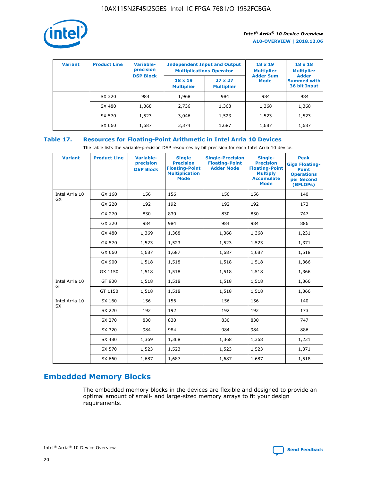

| <b>Variant</b> | <b>Product Line</b> | Variable-<br>precision | <b>Independent Input and Output</b><br><b>Multiplications Operator</b> |                                     | $18 \times 19$<br><b>Multiplier</b> | $18 \times 18$<br><b>Multiplier</b><br><b>Adder</b> |  |
|----------------|---------------------|------------------------|------------------------------------------------------------------------|-------------------------------------|-------------------------------------|-----------------------------------------------------|--|
|                |                     | <b>DSP Block</b>       | $18 \times 19$<br><b>Multiplier</b>                                    | $27 \times 27$<br><b>Multiplier</b> | <b>Adder Sum</b><br><b>Mode</b>     | <b>Summed with</b><br>36 bit Input                  |  |
|                | SX 320              | 984                    | 1,968                                                                  | 984                                 | 984                                 | 984                                                 |  |
|                | SX 480              | 1,368                  | 2,736                                                                  | 1,368                               | 1,368                               | 1,368                                               |  |
|                | SX 570              | 1,523                  | 3,046                                                                  | 1,523                               | 1,523                               | 1,523                                               |  |
|                | SX 660              | 1,687                  | 3,374                                                                  | 1,687                               | 1,687                               | 1,687                                               |  |

## **Table 17. Resources for Floating-Point Arithmetic in Intel Arria 10 Devices**

The table lists the variable-precision DSP resources by bit precision for each Intel Arria 10 device.

| <b>Variant</b> | <b>Product Line</b> | <b>Variable-</b><br>precision<br><b>DSP Block</b> | <b>Single</b><br><b>Precision</b><br><b>Floating-Point</b><br><b>Multiplication</b><br><b>Mode</b> | <b>Single-Precision</b><br><b>Floating-Point</b><br><b>Adder Mode</b> | Single-<br><b>Precision</b><br><b>Floating-Point</b><br><b>Multiply</b><br><b>Accumulate</b><br><b>Mode</b> | <b>Peak</b><br><b>Giga Floating-</b><br><b>Point</b><br><b>Operations</b><br>per Second<br>(GFLOPs) |
|----------------|---------------------|---------------------------------------------------|----------------------------------------------------------------------------------------------------|-----------------------------------------------------------------------|-------------------------------------------------------------------------------------------------------------|-----------------------------------------------------------------------------------------------------|
| Intel Arria 10 | GX 160              | 156                                               | 156                                                                                                | 156                                                                   | 156                                                                                                         | 140                                                                                                 |
| <b>GX</b>      | GX 220              | 192                                               | 192                                                                                                | 192                                                                   | 192                                                                                                         | 173                                                                                                 |
|                | GX 270              | 830                                               | 830                                                                                                | 830                                                                   | 830                                                                                                         | 747                                                                                                 |
|                | GX 320              | 984                                               | 984                                                                                                | 984                                                                   | 984                                                                                                         | 886                                                                                                 |
|                | GX 480              | 1,369                                             | 1,368                                                                                              | 1,368                                                                 | 1,368                                                                                                       | 1,231                                                                                               |
|                | GX 570              | 1,523                                             | 1,523                                                                                              | 1,523                                                                 | 1,523                                                                                                       | 1,371                                                                                               |
|                | GX 660              | 1,687                                             | 1,687                                                                                              | 1,687                                                                 | 1,687                                                                                                       | 1,518                                                                                               |
|                | GX 900              | 1,518                                             | 1,518                                                                                              | 1,518                                                                 | 1,518                                                                                                       | 1,366                                                                                               |
|                | GX 1150             | 1,518                                             | 1,518                                                                                              | 1,518                                                                 | 1,518                                                                                                       | 1,366                                                                                               |
| Intel Arria 10 | GT 900              | 1,518                                             | 1,518                                                                                              | 1,518                                                                 | 1,518                                                                                                       | 1,366                                                                                               |
| GT             | GT 1150             | 1,518                                             | 1,518                                                                                              | 1,518                                                                 | 1,518                                                                                                       | 1,366                                                                                               |
| Intel Arria 10 | SX 160              | 156                                               | 156                                                                                                | 156                                                                   | 156                                                                                                         | 140                                                                                                 |
| SX             | SX 220              | 192                                               | 192                                                                                                | 192                                                                   | 192                                                                                                         | 173                                                                                                 |
|                | SX 270              | 830                                               | 830                                                                                                | 830                                                                   | 830                                                                                                         | 747                                                                                                 |
|                | SX 320              | 984                                               | 984                                                                                                | 984                                                                   | 984                                                                                                         | 886                                                                                                 |
|                | SX 480              | 1,369                                             | 1,368                                                                                              | 1,368                                                                 | 1,368                                                                                                       | 1,231                                                                                               |
|                | SX 570              | 1,523                                             | 1,523                                                                                              | 1,523                                                                 | 1,523                                                                                                       | 1,371                                                                                               |
|                | SX 660              | 1,687                                             | 1,687                                                                                              | 1,687                                                                 | 1,687                                                                                                       | 1,518                                                                                               |

# **Embedded Memory Blocks**

The embedded memory blocks in the devices are flexible and designed to provide an optimal amount of small- and large-sized memory arrays to fit your design requirements.

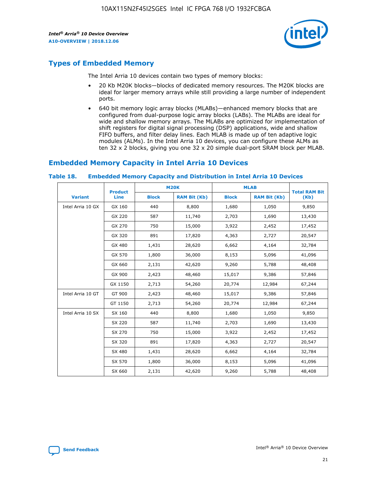

## **Types of Embedded Memory**

The Intel Arria 10 devices contain two types of memory blocks:

- 20 Kb M20K blocks—blocks of dedicated memory resources. The M20K blocks are ideal for larger memory arrays while still providing a large number of independent ports.
- 640 bit memory logic array blocks (MLABs)—enhanced memory blocks that are configured from dual-purpose logic array blocks (LABs). The MLABs are ideal for wide and shallow memory arrays. The MLABs are optimized for implementation of shift registers for digital signal processing (DSP) applications, wide and shallow FIFO buffers, and filter delay lines. Each MLAB is made up of ten adaptive logic modules (ALMs). In the Intel Arria 10 devices, you can configure these ALMs as ten 32 x 2 blocks, giving you one 32 x 20 simple dual-port SRAM block per MLAB.

## **Embedded Memory Capacity in Intel Arria 10 Devices**

|                   | <b>Product</b> |              | <b>M20K</b>         | <b>MLAB</b>  |                     | <b>Total RAM Bit</b> |
|-------------------|----------------|--------------|---------------------|--------------|---------------------|----------------------|
| <b>Variant</b>    | <b>Line</b>    | <b>Block</b> | <b>RAM Bit (Kb)</b> | <b>Block</b> | <b>RAM Bit (Kb)</b> | (Kb)                 |
| Intel Arria 10 GX | GX 160         | 440          | 8,800               | 1,680        | 1,050               | 9,850                |
|                   | GX 220         | 587          | 11,740              | 2,703        | 1,690               | 13,430               |
|                   | GX 270         | 750          | 15,000              | 3,922        | 2,452               | 17,452               |
|                   | GX 320         | 891          | 17,820              | 4,363        | 2,727               | 20,547               |
|                   | GX 480         | 1,431        | 28,620              | 6,662        | 4,164               | 32,784               |
|                   | GX 570         | 1,800        | 36,000              | 8,153        | 5,096               | 41,096               |
|                   | GX 660         | 2,131        | 42,620              | 9,260        | 5,788               | 48,408               |
|                   | GX 900         | 2,423        | 48,460              | 15,017       | 9,386               | 57,846               |
|                   | GX 1150        | 2,713        | 54,260              | 20,774       | 12,984              | 67,244               |
| Intel Arria 10 GT | GT 900         | 2,423        | 48,460              | 15,017       | 9,386               | 57,846               |
|                   | GT 1150        | 2,713        | 54,260              | 20,774       | 12,984              | 67,244               |
| Intel Arria 10 SX | SX 160         | 440          | 8,800               | 1,680        | 1,050               | 9,850                |
|                   | SX 220         | 587          | 11,740              | 2,703        | 1,690               | 13,430               |
|                   | SX 270         | 750          | 15,000              | 3,922        | 2,452               | 17,452               |
|                   | SX 320         | 891          | 17,820              | 4,363        | 2,727               | 20,547               |
|                   | SX 480         | 1,431        | 28,620              | 6,662        | 4,164               | 32,784               |
|                   | SX 570         | 1,800        | 36,000              | 8,153        | 5,096               | 41,096               |
|                   | SX 660         | 2,131        | 42,620              | 9,260        | 5,788               | 48,408               |

#### **Table 18. Embedded Memory Capacity and Distribution in Intel Arria 10 Devices**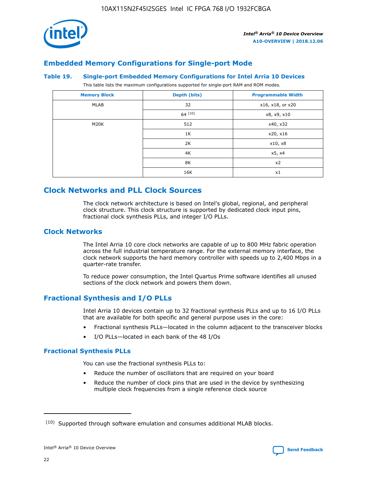

## **Embedded Memory Configurations for Single-port Mode**

#### **Table 19. Single-port Embedded Memory Configurations for Intel Arria 10 Devices**

This table lists the maximum configurations supported for single-port RAM and ROM modes.

| <b>Memory Block</b> | Depth (bits) | <b>Programmable Width</b> |
|---------------------|--------------|---------------------------|
| MLAB                | 32           | x16, x18, or x20          |
|                     | 64(10)       | x8, x9, x10               |
| M20K                | 512          | x40, x32                  |
|                     | 1K           | x20, x16                  |
|                     | 2K           | x10, x8                   |
|                     | 4K           | x5, x4                    |
|                     | 8K           | x2                        |
|                     | 16K          | x1                        |

## **Clock Networks and PLL Clock Sources**

The clock network architecture is based on Intel's global, regional, and peripheral clock structure. This clock structure is supported by dedicated clock input pins, fractional clock synthesis PLLs, and integer I/O PLLs.

## **Clock Networks**

The Intel Arria 10 core clock networks are capable of up to 800 MHz fabric operation across the full industrial temperature range. For the external memory interface, the clock network supports the hard memory controller with speeds up to 2,400 Mbps in a quarter-rate transfer.

To reduce power consumption, the Intel Quartus Prime software identifies all unused sections of the clock network and powers them down.

## **Fractional Synthesis and I/O PLLs**

Intel Arria 10 devices contain up to 32 fractional synthesis PLLs and up to 16 I/O PLLs that are available for both specific and general purpose uses in the core:

- Fractional synthesis PLLs—located in the column adjacent to the transceiver blocks
- I/O PLLs—located in each bank of the 48 I/Os

## **Fractional Synthesis PLLs**

You can use the fractional synthesis PLLs to:

- Reduce the number of oscillators that are required on your board
- Reduce the number of clock pins that are used in the device by synthesizing multiple clock frequencies from a single reference clock source

<sup>(10)</sup> Supported through software emulation and consumes additional MLAB blocks.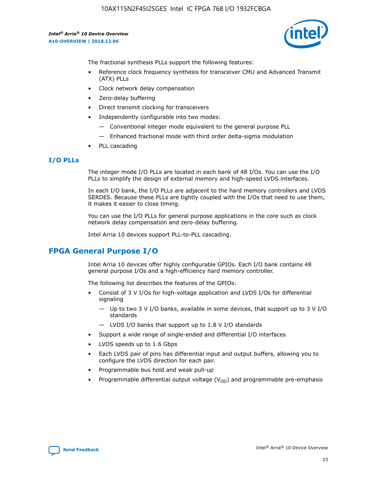

The fractional synthesis PLLs support the following features:

- Reference clock frequency synthesis for transceiver CMU and Advanced Transmit (ATX) PLLs
- Clock network delay compensation
- Zero-delay buffering
- Direct transmit clocking for transceivers
- Independently configurable into two modes:
	- Conventional integer mode equivalent to the general purpose PLL
	- Enhanced fractional mode with third order delta-sigma modulation
- PLL cascading

## **I/O PLLs**

The integer mode I/O PLLs are located in each bank of 48 I/Os. You can use the I/O PLLs to simplify the design of external memory and high-speed LVDS interfaces.

In each I/O bank, the I/O PLLs are adjacent to the hard memory controllers and LVDS SERDES. Because these PLLs are tightly coupled with the I/Os that need to use them, it makes it easier to close timing.

You can use the I/O PLLs for general purpose applications in the core such as clock network delay compensation and zero-delay buffering.

Intel Arria 10 devices support PLL-to-PLL cascading.

## **FPGA General Purpose I/O**

Intel Arria 10 devices offer highly configurable GPIOs. Each I/O bank contains 48 general purpose I/Os and a high-efficiency hard memory controller.

The following list describes the features of the GPIOs:

- Consist of 3 V I/Os for high-voltage application and LVDS I/Os for differential signaling
	- Up to two 3 V I/O banks, available in some devices, that support up to 3 V I/O standards
	- LVDS I/O banks that support up to 1.8 V I/O standards
- Support a wide range of single-ended and differential I/O interfaces
- LVDS speeds up to 1.6 Gbps
- Each LVDS pair of pins has differential input and output buffers, allowing you to configure the LVDS direction for each pair.
- Programmable bus hold and weak pull-up
- Programmable differential output voltage  $(V_{OD})$  and programmable pre-emphasis

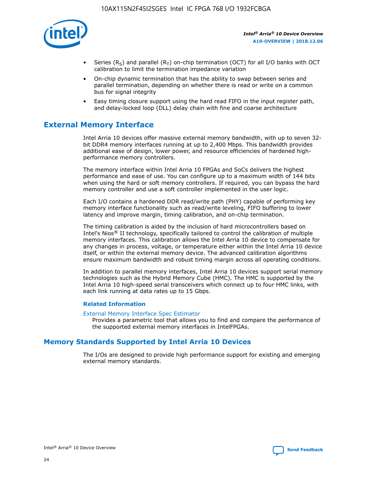

- Series (R<sub>S</sub>) and parallel (R<sub>T</sub>) on-chip termination (OCT) for all I/O banks with OCT calibration to limit the termination impedance variation
- On-chip dynamic termination that has the ability to swap between series and parallel termination, depending on whether there is read or write on a common bus for signal integrity
- Easy timing closure support using the hard read FIFO in the input register path, and delay-locked loop (DLL) delay chain with fine and coarse architecture

## **External Memory Interface**

Intel Arria 10 devices offer massive external memory bandwidth, with up to seven 32 bit DDR4 memory interfaces running at up to 2,400 Mbps. This bandwidth provides additional ease of design, lower power, and resource efficiencies of hardened highperformance memory controllers.

The memory interface within Intel Arria 10 FPGAs and SoCs delivers the highest performance and ease of use. You can configure up to a maximum width of 144 bits when using the hard or soft memory controllers. If required, you can bypass the hard memory controller and use a soft controller implemented in the user logic.

Each I/O contains a hardened DDR read/write path (PHY) capable of performing key memory interface functionality such as read/write leveling, FIFO buffering to lower latency and improve margin, timing calibration, and on-chip termination.

The timing calibration is aided by the inclusion of hard microcontrollers based on Intel's Nios® II technology, specifically tailored to control the calibration of multiple memory interfaces. This calibration allows the Intel Arria 10 device to compensate for any changes in process, voltage, or temperature either within the Intel Arria 10 device itself, or within the external memory device. The advanced calibration algorithms ensure maximum bandwidth and robust timing margin across all operating conditions.

In addition to parallel memory interfaces, Intel Arria 10 devices support serial memory technologies such as the Hybrid Memory Cube (HMC). The HMC is supported by the Intel Arria 10 high-speed serial transceivers which connect up to four HMC links, with each link running at data rates up to 15 Gbps.

#### **Related Information**

#### [External Memory Interface Spec Estimator](http://www.altera.com/technology/memory/estimator/mem-emif-index.html)

Provides a parametric tool that allows you to find and compare the performance of the supported external memory interfaces in IntelFPGAs.

## **Memory Standards Supported by Intel Arria 10 Devices**

The I/Os are designed to provide high performance support for existing and emerging external memory standards.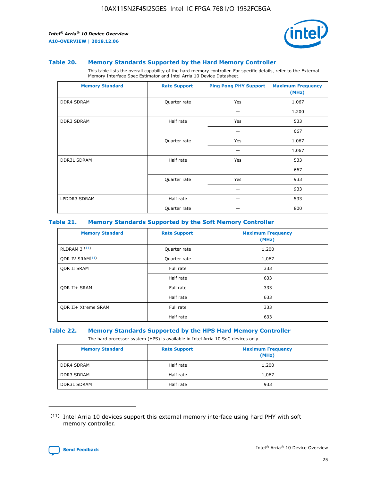

#### **Table 20. Memory Standards Supported by the Hard Memory Controller**

This table lists the overall capability of the hard memory controller. For specific details, refer to the External Memory Interface Spec Estimator and Intel Arria 10 Device Datasheet.

| <b>Memory Standard</b> | <b>Rate Support</b> | <b>Ping Pong PHY Support</b> | <b>Maximum Frequency</b><br>(MHz) |
|------------------------|---------------------|------------------------------|-----------------------------------|
| <b>DDR4 SDRAM</b>      | Quarter rate        | Yes                          | 1,067                             |
|                        |                     |                              | 1,200                             |
| <b>DDR3 SDRAM</b>      | Half rate           | Yes                          | 533                               |
|                        |                     |                              | 667                               |
|                        | Quarter rate        | Yes                          | 1,067                             |
|                        |                     |                              | 1,067                             |
| <b>DDR3L SDRAM</b>     | Half rate           | Yes                          | 533                               |
|                        |                     |                              | 667                               |
|                        | Quarter rate        | Yes                          | 933                               |
|                        |                     |                              | 933                               |
| LPDDR3 SDRAM           | Half rate           |                              | 533                               |
|                        | Quarter rate        |                              | 800                               |

#### **Table 21. Memory Standards Supported by the Soft Memory Controller**

| <b>Memory Standard</b>      | <b>Rate Support</b> | <b>Maximum Frequency</b><br>(MHz) |
|-----------------------------|---------------------|-----------------------------------|
| <b>RLDRAM 3 (11)</b>        | Quarter rate        | 1,200                             |
| ODR IV SRAM <sup>(11)</sup> | Quarter rate        | 1,067                             |
| <b>ODR II SRAM</b>          | Full rate           | 333                               |
|                             | Half rate           | 633                               |
| <b>ODR II+ SRAM</b>         | Full rate           | 333                               |
|                             | Half rate           | 633                               |
| <b>ODR II+ Xtreme SRAM</b>  | Full rate           | 333                               |
|                             | Half rate           | 633                               |

#### **Table 22. Memory Standards Supported by the HPS Hard Memory Controller**

The hard processor system (HPS) is available in Intel Arria 10 SoC devices only.

| <b>Memory Standard</b> | <b>Rate Support</b> | <b>Maximum Frequency</b><br>(MHz) |
|------------------------|---------------------|-----------------------------------|
| <b>DDR4 SDRAM</b>      | Half rate           | 1,200                             |
| <b>DDR3 SDRAM</b>      | Half rate           | 1,067                             |
| <b>DDR3L SDRAM</b>     | Half rate           | 933                               |

<sup>(11)</sup> Intel Arria 10 devices support this external memory interface using hard PHY with soft memory controller.

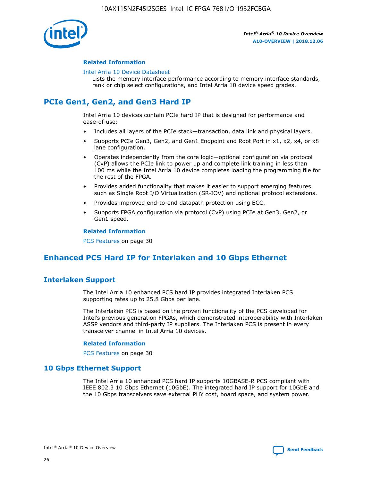

#### **Related Information**

#### [Intel Arria 10 Device Datasheet](https://www.intel.com/content/www/us/en/programmable/documentation/mcn1413182292568.html#mcn1413182153340)

Lists the memory interface performance according to memory interface standards, rank or chip select configurations, and Intel Arria 10 device speed grades.

## **PCIe Gen1, Gen2, and Gen3 Hard IP**

Intel Arria 10 devices contain PCIe hard IP that is designed for performance and ease-of-use:

- Includes all layers of the PCIe stack—transaction, data link and physical layers.
- Supports PCIe Gen3, Gen2, and Gen1 Endpoint and Root Port in x1, x2, x4, or x8 lane configuration.
- Operates independently from the core logic—optional configuration via protocol (CvP) allows the PCIe link to power up and complete link training in less than 100 ms while the Intel Arria 10 device completes loading the programming file for the rest of the FPGA.
- Provides added functionality that makes it easier to support emerging features such as Single Root I/O Virtualization (SR-IOV) and optional protocol extensions.
- Provides improved end-to-end datapath protection using ECC.
- Supports FPGA configuration via protocol (CvP) using PCIe at Gen3, Gen2, or Gen1 speed.

#### **Related Information**

PCS Features on page 30

## **Enhanced PCS Hard IP for Interlaken and 10 Gbps Ethernet**

## **Interlaken Support**

The Intel Arria 10 enhanced PCS hard IP provides integrated Interlaken PCS supporting rates up to 25.8 Gbps per lane.

The Interlaken PCS is based on the proven functionality of the PCS developed for Intel's previous generation FPGAs, which demonstrated interoperability with Interlaken ASSP vendors and third-party IP suppliers. The Interlaken PCS is present in every transceiver channel in Intel Arria 10 devices.

#### **Related Information**

PCS Features on page 30

## **10 Gbps Ethernet Support**

The Intel Arria 10 enhanced PCS hard IP supports 10GBASE-R PCS compliant with IEEE 802.3 10 Gbps Ethernet (10GbE). The integrated hard IP support for 10GbE and the 10 Gbps transceivers save external PHY cost, board space, and system power.

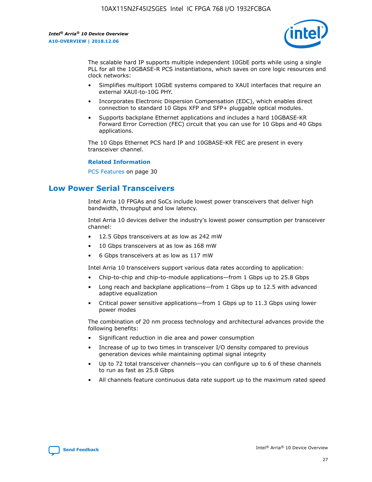

The scalable hard IP supports multiple independent 10GbE ports while using a single PLL for all the 10GBASE-R PCS instantiations, which saves on core logic resources and clock networks:

- Simplifies multiport 10GbE systems compared to XAUI interfaces that require an external XAUI-to-10G PHY.
- Incorporates Electronic Dispersion Compensation (EDC), which enables direct connection to standard 10 Gbps XFP and SFP+ pluggable optical modules.
- Supports backplane Ethernet applications and includes a hard 10GBASE-KR Forward Error Correction (FEC) circuit that you can use for 10 Gbps and 40 Gbps applications.

The 10 Gbps Ethernet PCS hard IP and 10GBASE-KR FEC are present in every transceiver channel.

#### **Related Information**

PCS Features on page 30

## **Low Power Serial Transceivers**

Intel Arria 10 FPGAs and SoCs include lowest power transceivers that deliver high bandwidth, throughput and low latency.

Intel Arria 10 devices deliver the industry's lowest power consumption per transceiver channel:

- 12.5 Gbps transceivers at as low as 242 mW
- 10 Gbps transceivers at as low as 168 mW
- 6 Gbps transceivers at as low as 117 mW

Intel Arria 10 transceivers support various data rates according to application:

- Chip-to-chip and chip-to-module applications—from 1 Gbps up to 25.8 Gbps
- Long reach and backplane applications—from 1 Gbps up to 12.5 with advanced adaptive equalization
- Critical power sensitive applications—from 1 Gbps up to 11.3 Gbps using lower power modes

The combination of 20 nm process technology and architectural advances provide the following benefits:

- Significant reduction in die area and power consumption
- Increase of up to two times in transceiver I/O density compared to previous generation devices while maintaining optimal signal integrity
- Up to 72 total transceiver channels—you can configure up to 6 of these channels to run as fast as 25.8 Gbps
- All channels feature continuous data rate support up to the maximum rated speed

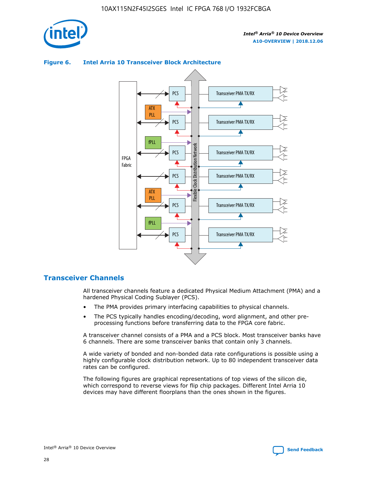

## Transceiver PMA TX/RX PCS ATX PLL Transceiver PMA TX/RX PCS fPLL Network Flexible Clock Distribution Network PCS Transceiver PMA TX/RX FPGA **Clock Distribution** Fabric PCS Transceiver PMA TX/RX ATX Flexible PLL PCS Transceiver PMA TX/RX ▲ fPLL Transceiver PMA TX/RX PCS 4

## **Figure 6. Intel Arria 10 Transceiver Block Architecture**

## **Transceiver Channels**

All transceiver channels feature a dedicated Physical Medium Attachment (PMA) and a hardened Physical Coding Sublayer (PCS).

- The PMA provides primary interfacing capabilities to physical channels.
- The PCS typically handles encoding/decoding, word alignment, and other preprocessing functions before transferring data to the FPGA core fabric.

A transceiver channel consists of a PMA and a PCS block. Most transceiver banks have 6 channels. There are some transceiver banks that contain only 3 channels.

A wide variety of bonded and non-bonded data rate configurations is possible using a highly configurable clock distribution network. Up to 80 independent transceiver data rates can be configured.

The following figures are graphical representations of top views of the silicon die, which correspond to reverse views for flip chip packages. Different Intel Arria 10 devices may have different floorplans than the ones shown in the figures.

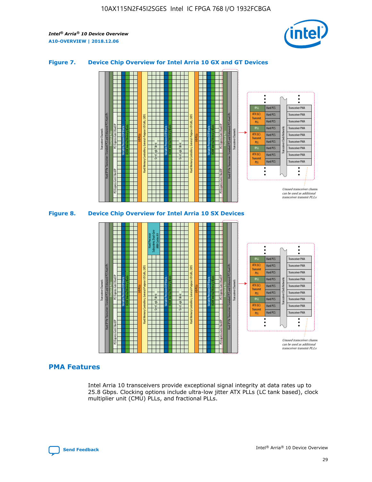

## **Figure 7. Device Chip Overview for Intel Arria 10 GX and GT Devices**





#### **PMA Features**

Intel Arria 10 transceivers provide exceptional signal integrity at data rates up to 25.8 Gbps. Clocking options include ultra-low jitter ATX PLLs (LC tank based), clock multiplier unit (CMU) PLLs, and fractional PLLs.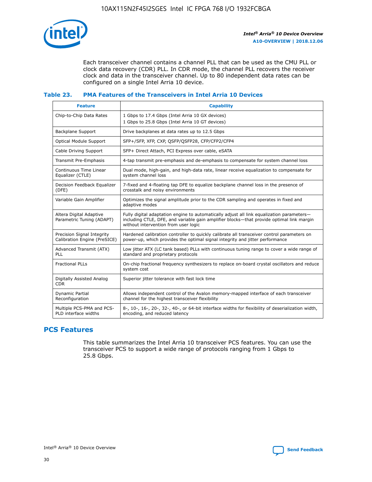

Each transceiver channel contains a channel PLL that can be used as the CMU PLL or clock data recovery (CDR) PLL. In CDR mode, the channel PLL recovers the receiver clock and data in the transceiver channel. Up to 80 independent data rates can be configured on a single Intel Arria 10 device.

## **Table 23. PMA Features of the Transceivers in Intel Arria 10 Devices**

| <b>Feature</b>                                             | <b>Capability</b>                                                                                                                                                                                                             |
|------------------------------------------------------------|-------------------------------------------------------------------------------------------------------------------------------------------------------------------------------------------------------------------------------|
| Chip-to-Chip Data Rates                                    | 1 Gbps to 17.4 Gbps (Intel Arria 10 GX devices)<br>1 Gbps to 25.8 Gbps (Intel Arria 10 GT devices)                                                                                                                            |
| <b>Backplane Support</b>                                   | Drive backplanes at data rates up to 12.5 Gbps                                                                                                                                                                                |
| Optical Module Support                                     | SFP+/SFP, XFP, CXP, QSFP/QSFP28, CFP/CFP2/CFP4                                                                                                                                                                                |
| Cable Driving Support                                      | SFP+ Direct Attach, PCI Express over cable, eSATA                                                                                                                                                                             |
| Transmit Pre-Emphasis                                      | 4-tap transmit pre-emphasis and de-emphasis to compensate for system channel loss                                                                                                                                             |
| Continuous Time Linear<br>Equalizer (CTLE)                 | Dual mode, high-gain, and high-data rate, linear receive equalization to compensate for<br>system channel loss                                                                                                                |
| Decision Feedback Equalizer<br>(DFE)                       | 7-fixed and 4-floating tap DFE to equalize backplane channel loss in the presence of<br>crosstalk and noisy environments                                                                                                      |
| Variable Gain Amplifier                                    | Optimizes the signal amplitude prior to the CDR sampling and operates in fixed and<br>adaptive modes                                                                                                                          |
| Altera Digital Adaptive<br>Parametric Tuning (ADAPT)       | Fully digital adaptation engine to automatically adjust all link equalization parameters-<br>including CTLE, DFE, and variable gain amplifier blocks—that provide optimal link margin<br>without intervention from user logic |
| Precision Signal Integrity<br>Calibration Engine (PreSICE) | Hardened calibration controller to quickly calibrate all transceiver control parameters on<br>power-up, which provides the optimal signal integrity and jitter performance                                                    |
| Advanced Transmit (ATX)<br><b>PLL</b>                      | Low jitter ATX (LC tank based) PLLs with continuous tuning range to cover a wide range of<br>standard and proprietary protocols                                                                                               |
| <b>Fractional PLLs</b>                                     | On-chip fractional frequency synthesizers to replace on-board crystal oscillators and reduce<br>system cost                                                                                                                   |
| Digitally Assisted Analog<br><b>CDR</b>                    | Superior jitter tolerance with fast lock time                                                                                                                                                                                 |
| Dynamic Partial<br>Reconfiguration                         | Allows independent control of the Avalon memory-mapped interface of each transceiver<br>channel for the highest transceiver flexibility                                                                                       |
| Multiple PCS-PMA and PCS-<br>PLD interface widths          | 8-, 10-, 16-, 20-, 32-, 40-, or 64-bit interface widths for flexibility of deserialization width,<br>encoding, and reduced latency                                                                                            |

## **PCS Features**

This table summarizes the Intel Arria 10 transceiver PCS features. You can use the transceiver PCS to support a wide range of protocols ranging from 1 Gbps to 25.8 Gbps.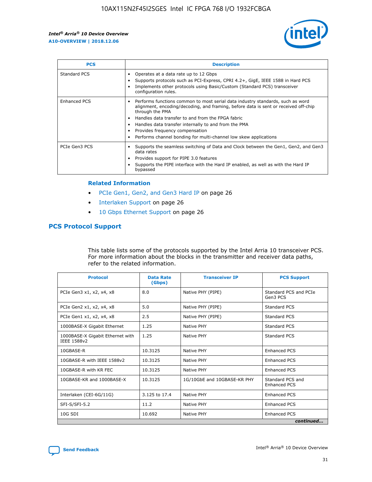

| <b>PCS</b>    | <b>Description</b>                                                                                                                                                                                                                                                                                                                                                                                                          |
|---------------|-----------------------------------------------------------------------------------------------------------------------------------------------------------------------------------------------------------------------------------------------------------------------------------------------------------------------------------------------------------------------------------------------------------------------------|
| Standard PCS  | Operates at a data rate up to 12 Gbps<br>Supports protocols such as PCI-Express, CPRI 4.2+, GigE, IEEE 1588 in Hard PCS<br>Implements other protocols using Basic/Custom (Standard PCS) transceiver<br>configuration rules.                                                                                                                                                                                                 |
| Enhanced PCS  | Performs functions common to most serial data industry standards, such as word<br>$\bullet$<br>alignment, encoding/decoding, and framing, before data is sent or received off-chip<br>through the PMA<br>• Handles data transfer to and from the FPGA fabric<br>Handles data transfer internally to and from the PMA<br>Provides frequency compensation<br>Performs channel bonding for multi-channel low skew applications |
| PCIe Gen3 PCS | Supports the seamless switching of Data and Clock between the Gen1, Gen2, and Gen3<br>data rates<br>Provides support for PIPE 3.0 features<br>Supports the PIPE interface with the Hard IP enabled, as well as with the Hard IP<br>bypassed                                                                                                                                                                                 |

#### **Related Information**

- PCIe Gen1, Gen2, and Gen3 Hard IP on page 26
- Interlaken Support on page 26
- 10 Gbps Ethernet Support on page 26

## **PCS Protocol Support**

This table lists some of the protocols supported by the Intel Arria 10 transceiver PCS. For more information about the blocks in the transmitter and receiver data paths, refer to the related information.

| <b>Protocol</b>                                 | <b>Data Rate</b><br>(Gbps) | <b>Transceiver IP</b>       | <b>PCS Support</b>                      |
|-------------------------------------------------|----------------------------|-----------------------------|-----------------------------------------|
| PCIe Gen3 x1, x2, x4, x8                        | 8.0                        | Native PHY (PIPE)           | Standard PCS and PCIe<br>Gen3 PCS       |
| PCIe Gen2 x1, x2, x4, x8                        | 5.0                        | Native PHY (PIPE)           | <b>Standard PCS</b>                     |
| PCIe Gen1 x1, x2, x4, x8                        | 2.5                        | Native PHY (PIPE)           | Standard PCS                            |
| 1000BASE-X Gigabit Ethernet                     | 1.25                       | Native PHY                  | <b>Standard PCS</b>                     |
| 1000BASE-X Gigabit Ethernet with<br>IEEE 1588v2 | 1.25                       | Native PHY                  | Standard PCS                            |
| 10GBASE-R                                       | 10.3125                    | Native PHY                  | Enhanced PCS                            |
| 10GBASE-R with IEEE 1588v2                      | 10.3125                    | Native PHY                  | <b>Enhanced PCS</b>                     |
| 10GBASE-R with KR FEC                           | 10.3125                    | Native PHY                  | Enhanced PCS                            |
| 10GBASE-KR and 1000BASE-X                       | 10.3125                    | 1G/10GbE and 10GBASE-KR PHY | Standard PCS and<br><b>Enhanced PCS</b> |
| Interlaken (CEI-6G/11G)                         | 3.125 to 17.4              | Native PHY                  | <b>Enhanced PCS</b>                     |
| SFI-S/SFI-5.2                                   | 11.2                       | Native PHY                  | <b>Enhanced PCS</b>                     |
| 10G SDI                                         | 10.692                     | Native PHY                  | Enhanced PCS                            |
|                                                 |                            |                             | continued                               |

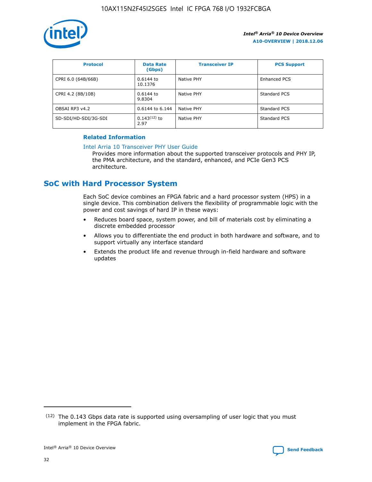

| <b>Protocol</b>      | <b>Data Rate</b><br>(Gbps) | <b>Transceiver IP</b> | <b>PCS Support</b> |
|----------------------|----------------------------|-----------------------|--------------------|
| CPRI 6.0 (64B/66B)   | 0.6144 to<br>10.1376       | Native PHY            | Enhanced PCS       |
| CPRI 4.2 (8B/10B)    | 0.6144 to<br>9.8304        | Native PHY            | Standard PCS       |
| OBSAI RP3 v4.2       | 0.6144 to 6.144            | Native PHY            | Standard PCS       |
| SD-SDI/HD-SDI/3G-SDI | $0.143(12)$ to<br>2.97     | Native PHY            | Standard PCS       |

## **Related Information**

#### [Intel Arria 10 Transceiver PHY User Guide](https://www.intel.com/content/www/us/en/programmable/documentation/nik1398707230472.html#nik1398707091164)

Provides more information about the supported transceiver protocols and PHY IP, the PMA architecture, and the standard, enhanced, and PCIe Gen3 PCS architecture.

## **SoC with Hard Processor System**

Each SoC device combines an FPGA fabric and a hard processor system (HPS) in a single device. This combination delivers the flexibility of programmable logic with the power and cost savings of hard IP in these ways:

- Reduces board space, system power, and bill of materials cost by eliminating a discrete embedded processor
- Allows you to differentiate the end product in both hardware and software, and to support virtually any interface standard
- Extends the product life and revenue through in-field hardware and software updates

 $(12)$  The 0.143 Gbps data rate is supported using oversampling of user logic that you must implement in the FPGA fabric.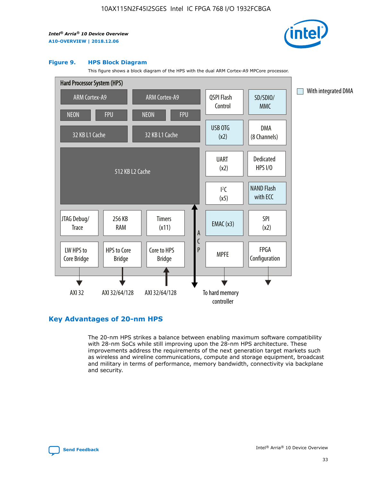

#### **Figure 9. HPS Block Diagram**

This figure shows a block diagram of the HPS with the dual ARM Cortex-A9 MPCore processor.



## **Key Advantages of 20-nm HPS**

The 20-nm HPS strikes a balance between enabling maximum software compatibility with 28-nm SoCs while still improving upon the 28-nm HPS architecture. These improvements address the requirements of the next generation target markets such as wireless and wireline communications, compute and storage equipment, broadcast and military in terms of performance, memory bandwidth, connectivity via backplane and security.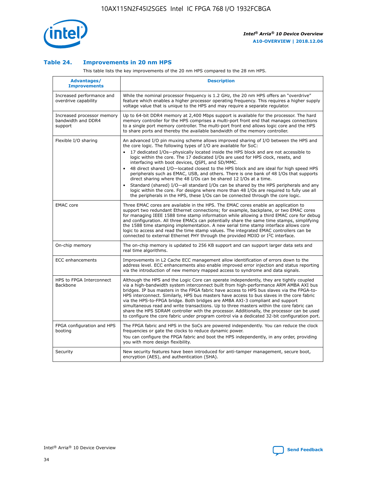

## **Table 24. Improvements in 20 nm HPS**

This table lists the key improvements of the 20 nm HPS compared to the 28 nm HPS.

| Advantages/<br><b>Improvements</b>                          | <b>Description</b>                                                                                                                                                                                                                                                                                                                                                                                                                                                                                                                                                                                                                                                                                                                                                                                                                                                                                                                   |
|-------------------------------------------------------------|--------------------------------------------------------------------------------------------------------------------------------------------------------------------------------------------------------------------------------------------------------------------------------------------------------------------------------------------------------------------------------------------------------------------------------------------------------------------------------------------------------------------------------------------------------------------------------------------------------------------------------------------------------------------------------------------------------------------------------------------------------------------------------------------------------------------------------------------------------------------------------------------------------------------------------------|
| Increased performance and<br>overdrive capability           | While the nominal processor frequency is 1.2 GHz, the 20 nm HPS offers an "overdrive"<br>feature which enables a higher processor operating frequency. This requires a higher supply<br>voltage value that is unique to the HPS and may require a separate regulator.                                                                                                                                                                                                                                                                                                                                                                                                                                                                                                                                                                                                                                                                |
| Increased processor memory<br>bandwidth and DDR4<br>support | Up to 64-bit DDR4 memory at 2,400 Mbps support is available for the processor. The hard<br>memory controller for the HPS comprises a multi-port front end that manages connections<br>to a single port memory controller. The multi-port front end allows logic core and the HPS<br>to share ports and thereby the available bandwidth of the memory controller.                                                                                                                                                                                                                                                                                                                                                                                                                                                                                                                                                                     |
| Flexible I/O sharing                                        | An advanced I/O pin muxing scheme allows improved sharing of I/O between the HPS and<br>the core logic. The following types of I/O are available for SoC:<br>17 dedicated I/Os-physically located inside the HPS block and are not accessible to<br>logic within the core. The 17 dedicated I/Os are used for HPS clock, resets, and<br>interfacing with boot devices, QSPI, and SD/MMC.<br>48 direct shared I/O-located closest to the HPS block and are ideal for high speed HPS<br>$\bullet$<br>peripherals such as EMAC, USB, and others. There is one bank of 48 I/Os that supports<br>direct sharing where the 48 I/Os can be shared 12 I/Os at a time.<br>Standard (shared) I/O-all standard I/Os can be shared by the HPS peripherals and any<br>logic within the core. For designs where more than 48 I/Os are required to fully use all<br>the peripherals in the HPS, these I/Os can be connected through the core logic. |
| <b>EMAC</b> core                                            | Three EMAC cores are available in the HPS. The EMAC cores enable an application to<br>support two redundant Ethernet connections; for example, backplane, or two EMAC cores<br>for managing IEEE 1588 time stamp information while allowing a third EMAC core for debug<br>and configuration. All three EMACs can potentially share the same time stamps, simplifying<br>the 1588 time stamping implementation. A new serial time stamp interface allows core<br>logic to access and read the time stamp values. The integrated EMAC controllers can be<br>connected to external Ethernet PHY through the provided MDIO or I <sup>2</sup> C interface.                                                                                                                                                                                                                                                                               |
| On-chip memory                                              | The on-chip memory is updated to 256 KB support and can support larger data sets and<br>real time algorithms.                                                                                                                                                                                                                                                                                                                                                                                                                                                                                                                                                                                                                                                                                                                                                                                                                        |
| <b>ECC</b> enhancements                                     | Improvements in L2 Cache ECC management allow identification of errors down to the<br>address level. ECC enhancements also enable improved error injection and status reporting<br>via the introduction of new memory mapped access to syndrome and data signals.                                                                                                                                                                                                                                                                                                                                                                                                                                                                                                                                                                                                                                                                    |
| HPS to FPGA Interconnect<br>Backbone                        | Although the HPS and the Logic Core can operate independently, they are tightly coupled<br>via a high-bandwidth system interconnect built from high-performance ARM AMBA AXI bus<br>bridges. IP bus masters in the FPGA fabric have access to HPS bus slaves via the FPGA-to-<br>HPS interconnect. Similarly, HPS bus masters have access to bus slaves in the core fabric<br>via the HPS-to-FPGA bridge. Both bridges are AMBA AXI-3 compliant and support<br>simultaneous read and write transactions. Up to three masters within the core fabric can<br>share the HPS SDRAM controller with the processor. Additionally, the processor can be used<br>to configure the core fabric under program control via a dedicated 32-bit configuration port.                                                                                                                                                                               |
| FPGA configuration and HPS<br>booting                       | The FPGA fabric and HPS in the SoCs are powered independently. You can reduce the clock<br>frequencies or gate the clocks to reduce dynamic power.<br>You can configure the FPGA fabric and boot the HPS independently, in any order, providing<br>you with more design flexibility.                                                                                                                                                                                                                                                                                                                                                                                                                                                                                                                                                                                                                                                 |
| Security                                                    | New security features have been introduced for anti-tamper management, secure boot,<br>encryption (AES), and authentication (SHA).                                                                                                                                                                                                                                                                                                                                                                                                                                                                                                                                                                                                                                                                                                                                                                                                   |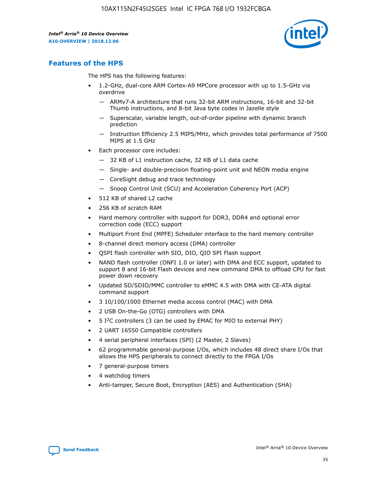

## **Features of the HPS**

The HPS has the following features:

- 1.2-GHz, dual-core ARM Cortex-A9 MPCore processor with up to 1.5-GHz via overdrive
	- ARMv7-A architecture that runs 32-bit ARM instructions, 16-bit and 32-bit Thumb instructions, and 8-bit Java byte codes in Jazelle style
	- Superscalar, variable length, out-of-order pipeline with dynamic branch prediction
	- Instruction Efficiency 2.5 MIPS/MHz, which provides total performance of 7500 MIPS at 1.5 GHz
- Each processor core includes:
	- 32 KB of L1 instruction cache, 32 KB of L1 data cache
	- Single- and double-precision floating-point unit and NEON media engine
	- CoreSight debug and trace technology
	- Snoop Control Unit (SCU) and Acceleration Coherency Port (ACP)
- 512 KB of shared L2 cache
- 256 KB of scratch RAM
- Hard memory controller with support for DDR3, DDR4 and optional error correction code (ECC) support
- Multiport Front End (MPFE) Scheduler interface to the hard memory controller
- 8-channel direct memory access (DMA) controller
- QSPI flash controller with SIO, DIO, QIO SPI Flash support
- NAND flash controller (ONFI 1.0 or later) with DMA and ECC support, updated to support 8 and 16-bit Flash devices and new command DMA to offload CPU for fast power down recovery
- Updated SD/SDIO/MMC controller to eMMC 4.5 with DMA with CE-ATA digital command support
- 3 10/100/1000 Ethernet media access control (MAC) with DMA
- 2 USB On-the-Go (OTG) controllers with DMA
- $\bullet$  5 I<sup>2</sup>C controllers (3 can be used by EMAC for MIO to external PHY)
- 2 UART 16550 Compatible controllers
- 4 serial peripheral interfaces (SPI) (2 Master, 2 Slaves)
- 62 programmable general-purpose I/Os, which includes 48 direct share I/Os that allows the HPS peripherals to connect directly to the FPGA I/Os
- 7 general-purpose timers
- 4 watchdog timers
- Anti-tamper, Secure Boot, Encryption (AES) and Authentication (SHA)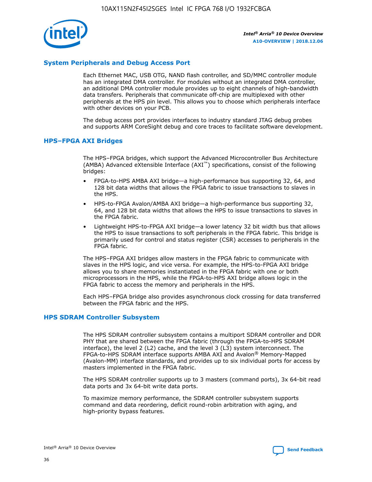

## **System Peripherals and Debug Access Port**

Each Ethernet MAC, USB OTG, NAND flash controller, and SD/MMC controller module has an integrated DMA controller. For modules without an integrated DMA controller, an additional DMA controller module provides up to eight channels of high-bandwidth data transfers. Peripherals that communicate off-chip are multiplexed with other peripherals at the HPS pin level. This allows you to choose which peripherals interface with other devices on your PCB.

The debug access port provides interfaces to industry standard JTAG debug probes and supports ARM CoreSight debug and core traces to facilitate software development.

#### **HPS–FPGA AXI Bridges**

The HPS–FPGA bridges, which support the Advanced Microcontroller Bus Architecture (AMBA) Advanced eXtensible Interface (AXI™) specifications, consist of the following bridges:

- FPGA-to-HPS AMBA AXI bridge—a high-performance bus supporting 32, 64, and 128 bit data widths that allows the FPGA fabric to issue transactions to slaves in the HPS.
- HPS-to-FPGA Avalon/AMBA AXI bridge—a high-performance bus supporting 32, 64, and 128 bit data widths that allows the HPS to issue transactions to slaves in the FPGA fabric.
- Lightweight HPS-to-FPGA AXI bridge—a lower latency 32 bit width bus that allows the HPS to issue transactions to soft peripherals in the FPGA fabric. This bridge is primarily used for control and status register (CSR) accesses to peripherals in the FPGA fabric.

The HPS–FPGA AXI bridges allow masters in the FPGA fabric to communicate with slaves in the HPS logic, and vice versa. For example, the HPS-to-FPGA AXI bridge allows you to share memories instantiated in the FPGA fabric with one or both microprocessors in the HPS, while the FPGA-to-HPS AXI bridge allows logic in the FPGA fabric to access the memory and peripherals in the HPS.

Each HPS–FPGA bridge also provides asynchronous clock crossing for data transferred between the FPGA fabric and the HPS.

#### **HPS SDRAM Controller Subsystem**

The HPS SDRAM controller subsystem contains a multiport SDRAM controller and DDR PHY that are shared between the FPGA fabric (through the FPGA-to-HPS SDRAM interface), the level 2 (L2) cache, and the level 3 (L3) system interconnect. The FPGA-to-HPS SDRAM interface supports AMBA AXI and Avalon® Memory-Mapped (Avalon-MM) interface standards, and provides up to six individual ports for access by masters implemented in the FPGA fabric.

The HPS SDRAM controller supports up to 3 masters (command ports), 3x 64-bit read data ports and 3x 64-bit write data ports.

To maximize memory performance, the SDRAM controller subsystem supports command and data reordering, deficit round-robin arbitration with aging, and high-priority bypass features.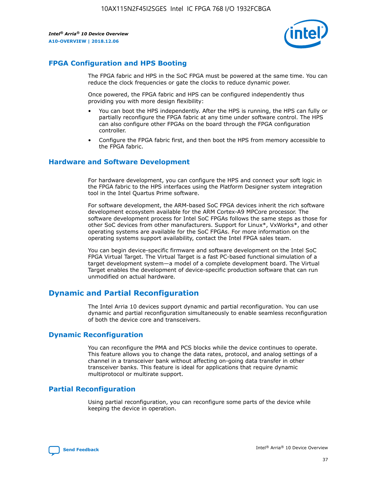

## **FPGA Configuration and HPS Booting**

The FPGA fabric and HPS in the SoC FPGA must be powered at the same time. You can reduce the clock frequencies or gate the clocks to reduce dynamic power.

Once powered, the FPGA fabric and HPS can be configured independently thus providing you with more design flexibility:

- You can boot the HPS independently. After the HPS is running, the HPS can fully or partially reconfigure the FPGA fabric at any time under software control. The HPS can also configure other FPGAs on the board through the FPGA configuration controller.
- Configure the FPGA fabric first, and then boot the HPS from memory accessible to the FPGA fabric.

## **Hardware and Software Development**

For hardware development, you can configure the HPS and connect your soft logic in the FPGA fabric to the HPS interfaces using the Platform Designer system integration tool in the Intel Quartus Prime software.

For software development, the ARM-based SoC FPGA devices inherit the rich software development ecosystem available for the ARM Cortex-A9 MPCore processor. The software development process for Intel SoC FPGAs follows the same steps as those for other SoC devices from other manufacturers. Support for Linux\*, VxWorks\*, and other operating systems are available for the SoC FPGAs. For more information on the operating systems support availability, contact the Intel FPGA sales team.

You can begin device-specific firmware and software development on the Intel SoC FPGA Virtual Target. The Virtual Target is a fast PC-based functional simulation of a target development system—a model of a complete development board. The Virtual Target enables the development of device-specific production software that can run unmodified on actual hardware.

## **Dynamic and Partial Reconfiguration**

The Intel Arria 10 devices support dynamic and partial reconfiguration. You can use dynamic and partial reconfiguration simultaneously to enable seamless reconfiguration of both the device core and transceivers.

## **Dynamic Reconfiguration**

You can reconfigure the PMA and PCS blocks while the device continues to operate. This feature allows you to change the data rates, protocol, and analog settings of a channel in a transceiver bank without affecting on-going data transfer in other transceiver banks. This feature is ideal for applications that require dynamic multiprotocol or multirate support.

## **Partial Reconfiguration**

Using partial reconfiguration, you can reconfigure some parts of the device while keeping the device in operation.

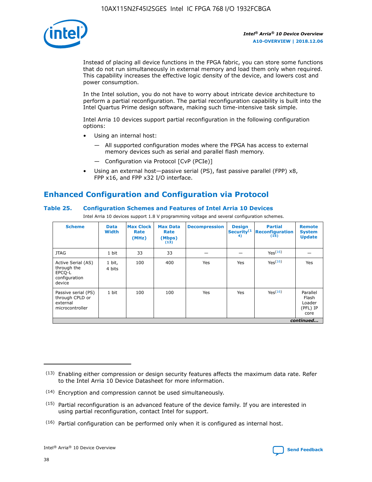

Instead of placing all device functions in the FPGA fabric, you can store some functions that do not run simultaneously in external memory and load them only when required. This capability increases the effective logic density of the device, and lowers cost and power consumption.

In the Intel solution, you do not have to worry about intricate device architecture to perform a partial reconfiguration. The partial reconfiguration capability is built into the Intel Quartus Prime design software, making such time-intensive task simple.

Intel Arria 10 devices support partial reconfiguration in the following configuration options:

- Using an internal host:
	- All supported configuration modes where the FPGA has access to external memory devices such as serial and parallel flash memory.
	- Configuration via Protocol [CvP (PCIe)]
- Using an external host—passive serial (PS), fast passive parallel (FPP) x8, FPP x16, and FPP x32 I/O interface.

# **Enhanced Configuration and Configuration via Protocol**

## **Table 25. Configuration Schemes and Features of Intel Arria 10 Devices**

Intel Arria 10 devices support 1.8 V programming voltage and several configuration schemes.

| <b>Scheme</b>                                                          | <b>Data</b><br><b>Width</b> | <b>Max Clock</b><br>Rate<br>(MHz) | <b>Max Data</b><br>Rate<br>(Mbps)<br>(13) | <b>Decompression</b> | <b>Design</b><br>Security <sup>(1</sup><br>4) | <b>Partial</b><br><b>Reconfiguration</b><br>(15) | <b>Remote</b><br><b>System</b><br><b>Update</b> |
|------------------------------------------------------------------------|-----------------------------|-----------------------------------|-------------------------------------------|----------------------|-----------------------------------------------|--------------------------------------------------|-------------------------------------------------|
| <b>JTAG</b>                                                            | 1 bit                       | 33                                | 33                                        |                      |                                               | Yes(16)                                          |                                                 |
| Active Serial (AS)<br>through the<br>EPCO-L<br>configuration<br>device | 1 bit,<br>4 bits            | 100                               | 400                                       | Yes                  | Yes                                           | $Y_{PS}(16)$                                     | Yes                                             |
| Passive serial (PS)<br>through CPLD or<br>external<br>microcontroller  | 1 bit                       | 100                               | 100                                       | Yes                  | Yes                                           | Yes(16)                                          | Parallel<br>Flash<br>Loader<br>(PFL) IP<br>core |
|                                                                        |                             |                                   |                                           |                      |                                               |                                                  | continued                                       |

<sup>(13)</sup> Enabling either compression or design security features affects the maximum data rate. Refer to the Intel Arria 10 Device Datasheet for more information.

<sup>(14)</sup> Encryption and compression cannot be used simultaneously.

 $<sup>(15)</sup>$  Partial reconfiguration is an advanced feature of the device family. If you are interested in</sup> using partial reconfiguration, contact Intel for support.

 $(16)$  Partial configuration can be performed only when it is configured as internal host.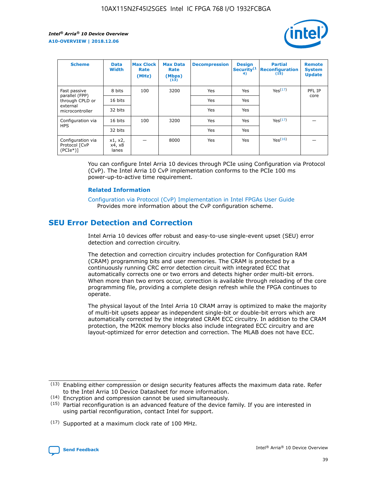

| <b>Scheme</b>                                    | <b>Data</b><br><b>Width</b> | <b>Max Clock</b><br>Rate<br>(MHz) | <b>Max Data</b><br>Rate<br>(Mbps)<br>(13) | <b>Decompression</b> | <b>Design</b><br>Security <sup>(1</sup><br>4) | <b>Partial</b><br><b>Reconfiguration</b><br>(15) | <b>Remote</b><br><b>System</b><br><b>Update</b> |
|--------------------------------------------------|-----------------------------|-----------------------------------|-------------------------------------------|----------------------|-----------------------------------------------|--------------------------------------------------|-------------------------------------------------|
| Fast passive                                     | 8 bits                      | 100                               | 3200                                      | Yes                  | Yes                                           | Yes(17)                                          | PFL IP                                          |
| parallel (FPP)<br>through CPLD or                | 16 bits                     |                                   |                                           | Yes                  | Yes                                           |                                                  | core                                            |
| external<br>microcontroller                      | 32 bits                     |                                   |                                           | Yes                  | Yes                                           |                                                  |                                                 |
| Configuration via                                | 16 bits                     | 100                               | 3200                                      | Yes                  | Yes                                           | Yes <sup>(17)</sup>                              |                                                 |
| <b>HPS</b>                                       | 32 bits                     |                                   |                                           | Yes                  | Yes                                           |                                                  |                                                 |
| Configuration via<br>Protocol [CvP<br>$(PCIe^*)$ | x1, x2,<br>x4, x8<br>lanes  |                                   | 8000                                      | Yes                  | Yes                                           | Yes <sup>(16)</sup>                              |                                                 |

You can configure Intel Arria 10 devices through PCIe using Configuration via Protocol (CvP). The Intel Arria 10 CvP implementation conforms to the PCIe 100 ms power-up-to-active time requirement.

#### **Related Information**

[Configuration via Protocol \(CvP\) Implementation in Intel FPGAs User Guide](https://www.intel.com/content/www/us/en/programmable/documentation/dsu1441819344145.html#dsu1442269728522) Provides more information about the CvP configuration scheme.

## **SEU Error Detection and Correction**

Intel Arria 10 devices offer robust and easy-to-use single-event upset (SEU) error detection and correction circuitry.

The detection and correction circuitry includes protection for Configuration RAM (CRAM) programming bits and user memories. The CRAM is protected by a continuously running CRC error detection circuit with integrated ECC that automatically corrects one or two errors and detects higher order multi-bit errors. When more than two errors occur, correction is available through reloading of the core programming file, providing a complete design refresh while the FPGA continues to operate.

The physical layout of the Intel Arria 10 CRAM array is optimized to make the majority of multi-bit upsets appear as independent single-bit or double-bit errors which are automatically corrected by the integrated CRAM ECC circuitry. In addition to the CRAM protection, the M20K memory blocks also include integrated ECC circuitry and are layout-optimized for error detection and correction. The MLAB does not have ECC.

<sup>(17)</sup> Supported at a maximum clock rate of 100 MHz.



 $(13)$  Enabling either compression or design security features affects the maximum data rate. Refer to the Intel Arria 10 Device Datasheet for more information.

<sup>(14)</sup> Encryption and compression cannot be used simultaneously.

 $(15)$  Partial reconfiguration is an advanced feature of the device family. If you are interested in using partial reconfiguration, contact Intel for support.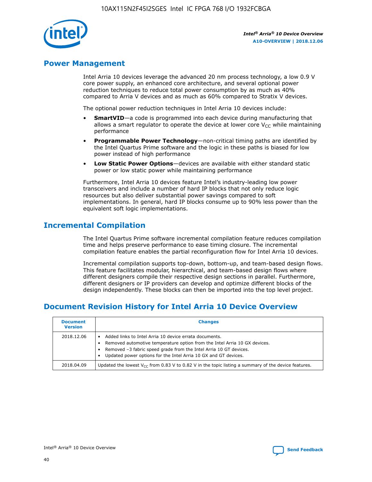

## **Power Management**

Intel Arria 10 devices leverage the advanced 20 nm process technology, a low 0.9 V core power supply, an enhanced core architecture, and several optional power reduction techniques to reduce total power consumption by as much as 40% compared to Arria V devices and as much as 60% compared to Stratix V devices.

The optional power reduction techniques in Intel Arria 10 devices include:

- **SmartVID**—a code is programmed into each device during manufacturing that allows a smart regulator to operate the device at lower core  $V_{CC}$  while maintaining performance
- **Programmable Power Technology**—non-critical timing paths are identified by the Intel Quartus Prime software and the logic in these paths is biased for low power instead of high performance
- **Low Static Power Options**—devices are available with either standard static power or low static power while maintaining performance

Furthermore, Intel Arria 10 devices feature Intel's industry-leading low power transceivers and include a number of hard IP blocks that not only reduce logic resources but also deliver substantial power savings compared to soft implementations. In general, hard IP blocks consume up to 90% less power than the equivalent soft logic implementations.

## **Incremental Compilation**

The Intel Quartus Prime software incremental compilation feature reduces compilation time and helps preserve performance to ease timing closure. The incremental compilation feature enables the partial reconfiguration flow for Intel Arria 10 devices.

Incremental compilation supports top-down, bottom-up, and team-based design flows. This feature facilitates modular, hierarchical, and team-based design flows where different designers compile their respective design sections in parallel. Furthermore, different designers or IP providers can develop and optimize different blocks of the design independently. These blocks can then be imported into the top level project.

## **Document Revision History for Intel Arria 10 Device Overview**

| <b>Document</b><br><b>Version</b> | <b>Changes</b>                                                                                                                                                                                                                                                              |
|-----------------------------------|-----------------------------------------------------------------------------------------------------------------------------------------------------------------------------------------------------------------------------------------------------------------------------|
| 2018.12.06                        | Added links to Intel Arria 10 device errata documents.<br>Removed automotive temperature option from the Intel Arria 10 GX devices.<br>Removed -3 fabric speed grade from the Intel Arria 10 GT devices.<br>Updated power options for the Intel Arria 10 GX and GT devices. |
| 2018.04.09                        | Updated the lowest $V_{CC}$ from 0.83 V to 0.82 V in the topic listing a summary of the device features.                                                                                                                                                                    |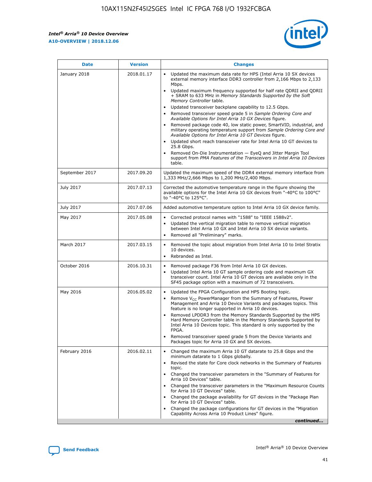

| <b>Date</b>    | <b>Version</b> | <b>Changes</b>                                                                                                                                                                                                                                                                                                                                                                                                                                                                                                                                                                                                                                                                                                                                                                                                                                                                                                                                               |
|----------------|----------------|--------------------------------------------------------------------------------------------------------------------------------------------------------------------------------------------------------------------------------------------------------------------------------------------------------------------------------------------------------------------------------------------------------------------------------------------------------------------------------------------------------------------------------------------------------------------------------------------------------------------------------------------------------------------------------------------------------------------------------------------------------------------------------------------------------------------------------------------------------------------------------------------------------------------------------------------------------------|
| January 2018   | 2018.01.17     | Updated the maximum data rate for HPS (Intel Arria 10 SX devices<br>external memory interface DDR3 controller from 2,166 Mbps to 2,133<br>Mbps.<br>Updated maximum frequency supported for half rate QDRII and QDRII<br>+ SRAM to 633 MHz in Memory Standards Supported by the Soft<br>Memory Controller table.<br>Updated transceiver backplane capability to 12.5 Gbps.<br>Removed transceiver speed grade 5 in Sample Ordering Core and<br>Available Options for Intel Arria 10 GX Devices figure.<br>Removed package code 40, low static power, SmartVID, industrial, and<br>military operating temperature support from Sample Ordering Core and<br>Available Options for Intel Arria 10 GT Devices figure.<br>Updated short reach transceiver rate for Intel Arria 10 GT devices to<br>25.8 Gbps.<br>Removed On-Die Instrumentation - EyeQ and Jitter Margin Tool<br>support from PMA Features of the Transceivers in Intel Arria 10 Devices<br>table. |
| September 2017 | 2017.09.20     | Updated the maximum speed of the DDR4 external memory interface from<br>1,333 MHz/2,666 Mbps to 1,200 MHz/2,400 Mbps.                                                                                                                                                                                                                                                                                                                                                                                                                                                                                                                                                                                                                                                                                                                                                                                                                                        |
| July 2017      | 2017.07.13     | Corrected the automotive temperature range in the figure showing the<br>available options for the Intel Arria 10 GX devices from "-40°C to 100°C"<br>to "-40°C to 125°C".                                                                                                                                                                                                                                                                                                                                                                                                                                                                                                                                                                                                                                                                                                                                                                                    |
| July 2017      | 2017.07.06     | Added automotive temperature option to Intel Arria 10 GX device family.                                                                                                                                                                                                                                                                                                                                                                                                                                                                                                                                                                                                                                                                                                                                                                                                                                                                                      |
| May 2017       | 2017.05.08     | Corrected protocol names with "1588" to "IEEE 1588v2".<br>$\bullet$<br>Updated the vertical migration table to remove vertical migration<br>$\bullet$<br>between Intel Arria 10 GX and Intel Arria 10 SX device variants.<br>Removed all "Preliminary" marks.<br>$\bullet$                                                                                                                                                                                                                                                                                                                                                                                                                                                                                                                                                                                                                                                                                   |
| March 2017     | 2017.03.15     | Removed the topic about migration from Intel Arria 10 to Intel Stratix<br>$\bullet$<br>10 devices.<br>Rebranded as Intel.<br>$\bullet$                                                                                                                                                                                                                                                                                                                                                                                                                                                                                                                                                                                                                                                                                                                                                                                                                       |
| October 2016   | 2016.10.31     | Removed package F36 from Intel Arria 10 GX devices.<br>Updated Intel Arria 10 GT sample ordering code and maximum GX<br>$\bullet$<br>transceiver count. Intel Arria 10 GT devices are available only in the<br>SF45 package option with a maximum of 72 transceivers.                                                                                                                                                                                                                                                                                                                                                                                                                                                                                                                                                                                                                                                                                        |
| May 2016       | 2016.05.02     | Updated the FPGA Configuration and HPS Booting topic.<br>$\bullet$<br>Remove V <sub>CC</sub> PowerManager from the Summary of Features, Power<br>Management and Arria 10 Device Variants and packages topics. This<br>feature is no longer supported in Arria 10 devices.<br>Removed LPDDR3 from the Memory Standards Supported by the HPS<br>Hard Memory Controller table in the Memory Standards Supported by<br>Intel Arria 10 Devices topic. This standard is only supported by the<br><b>FPGA</b><br>Removed transceiver speed grade 5 from the Device Variants and<br>Packages topic for Arria 10 GX and SX devices.                                                                                                                                                                                                                                                                                                                                   |
| February 2016  | 2016.02.11     | Changed the maximum Arria 10 GT datarate to 25.8 Gbps and the<br>$\bullet$<br>minimum datarate to 1 Gbps globally.<br>Revised the state for Core clock networks in the Summary of Features<br>$\bullet$<br>topic.<br>Changed the transceiver parameters in the "Summary of Features for<br>$\bullet$<br>Arria 10 Devices" table.<br>Changed the transceiver parameters in the "Maximum Resource Counts<br>for Arria 10 GT Devices" table.<br>Changed the package availability for GT devices in the "Package Plan<br>for Arria 10 GT Devices" table.<br>Changed the package configurations for GT devices in the "Migration"<br>Capability Across Arria 10 Product Lines" figure.<br>continued                                                                                                                                                                                                                                                               |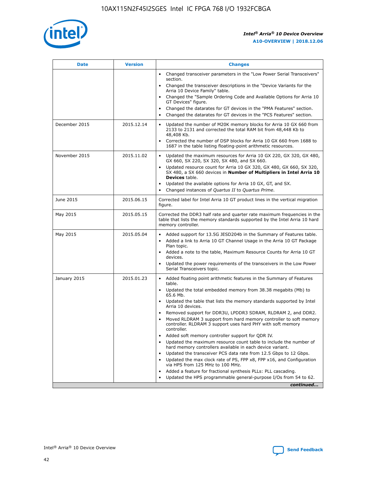

| <b>Date</b>   | <b>Version</b> | <b>Changes</b>                                                                                                                                                               |
|---------------|----------------|------------------------------------------------------------------------------------------------------------------------------------------------------------------------------|
|               |                | • Changed transceiver parameters in the "Low Power Serial Transceivers"<br>section.                                                                                          |
|               |                | • Changed the transceiver descriptions in the "Device Variants for the<br>Arria 10 Device Family" table.                                                                     |
|               |                | Changed the "Sample Ordering Code and Available Options for Arria 10<br>$\bullet$<br>GT Devices" figure.                                                                     |
|               |                | Changed the datarates for GT devices in the "PMA Features" section.                                                                                                          |
|               |                | Changed the datarates for GT devices in the "PCS Features" section.<br>$\bullet$                                                                                             |
| December 2015 | 2015.12.14     | Updated the number of M20K memory blocks for Arria 10 GX 660 from<br>2133 to 2131 and corrected the total RAM bit from 48,448 Kb to<br>48,408 Kb.                            |
|               |                | Corrected the number of DSP blocks for Arria 10 GX 660 from 1688 to<br>1687 in the table listing floating-point arithmetic resources.                                        |
| November 2015 | 2015.11.02     | Updated the maximum resources for Arria 10 GX 220, GX 320, GX 480,<br>$\bullet$<br>GX 660, SX 220, SX 320, SX 480, and SX 660.                                               |
|               |                | • Updated resource count for Arria 10 GX 320, GX 480, GX 660, SX 320,<br>SX 480, a SX 660 devices in Number of Multipliers in Intel Arria 10<br><b>Devices</b> table.        |
|               |                | Updated the available options for Arria 10 GX, GT, and SX.                                                                                                                   |
|               |                | Changed instances of Quartus II to Quartus Prime.<br>$\bullet$                                                                                                               |
| June 2015     | 2015.06.15     | Corrected label for Intel Arria 10 GT product lines in the vertical migration<br>figure.                                                                                     |
| May 2015      | 2015.05.15     | Corrected the DDR3 half rate and quarter rate maximum frequencies in the<br>table that lists the memory standards supported by the Intel Arria 10 hard<br>memory controller. |
| May 2015      | 2015.05.04     | • Added support for 13.5G JESD204b in the Summary of Features table.                                                                                                         |
|               |                | • Added a link to Arria 10 GT Channel Usage in the Arria 10 GT Package<br>Plan topic.                                                                                        |
|               |                | • Added a note to the table, Maximum Resource Counts for Arria 10 GT<br>devices.                                                                                             |
|               |                | • Updated the power requirements of the transceivers in the Low Power<br>Serial Transceivers topic.                                                                          |
| January 2015  | 2015.01.23     | • Added floating point arithmetic features in the Summary of Features<br>table.                                                                                              |
|               |                | • Updated the total embedded memory from 38.38 megabits (Mb) to<br>65.6 Mb.                                                                                                  |
|               |                | • Updated the table that lists the memory standards supported by Intel<br>Arria 10 devices.                                                                                  |
|               |                | Removed support for DDR3U, LPDDR3 SDRAM, RLDRAM 2, and DDR2.                                                                                                                 |
|               |                | Moved RLDRAM 3 support from hard memory controller to soft memory<br>controller. RLDRAM 3 support uses hard PHY with soft memory<br>controller.                              |
|               |                | Added soft memory controller support for QDR IV.<br>٠                                                                                                                        |
|               |                | Updated the maximum resource count table to include the number of<br>hard memory controllers available in each device variant.                                               |
|               |                | Updated the transceiver PCS data rate from 12.5 Gbps to 12 Gbps.<br>$\bullet$                                                                                                |
|               |                | Updated the max clock rate of PS, FPP x8, FPP x16, and Configuration<br>via HPS from 125 MHz to 100 MHz.                                                                     |
|               |                | Added a feature for fractional synthesis PLLs: PLL cascading.                                                                                                                |
|               |                | Updated the HPS programmable general-purpose I/Os from 54 to 62.<br>$\bullet$                                                                                                |
|               |                | continued                                                                                                                                                                    |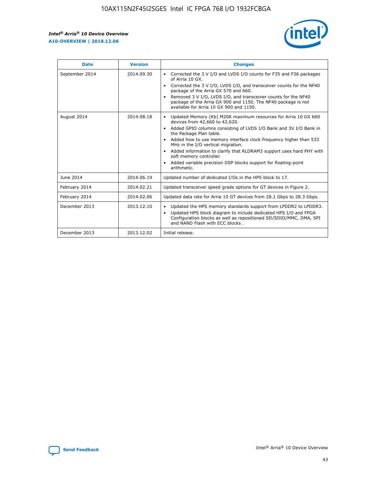r



| <b>Date</b>    | <b>Version</b> | <b>Changes</b>                                                                                                                                                                                                                                                                                                                                                                                                                                                                                                                                      |
|----------------|----------------|-----------------------------------------------------------------------------------------------------------------------------------------------------------------------------------------------------------------------------------------------------------------------------------------------------------------------------------------------------------------------------------------------------------------------------------------------------------------------------------------------------------------------------------------------------|
| September 2014 | 2014.09.30     | Corrected the 3 V I/O and LVDS I/O counts for F35 and F36 packages<br>$\bullet$<br>of Arria 10 GX.<br>Corrected the 3 V I/O, LVDS I/O, and transceiver counts for the NF40<br>$\bullet$<br>package of the Arria GX 570 and 660.<br>Removed 3 V I/O, LVDS I/O, and transceiver counts for the NF40<br>$\bullet$<br>package of the Arria GX 900 and 1150. The NF40 package is not<br>available for Arria 10 GX 900 and 1150.                                                                                                                          |
| August 2014    | 2014.08.18     | Updated Memory (Kb) M20K maximum resources for Arria 10 GX 660<br>devices from 42,660 to 42,620.<br>Added GPIO columns consisting of LVDS I/O Bank and 3V I/O Bank in<br>$\bullet$<br>the Package Plan table.<br>Added how to use memory interface clock frequency higher than 533<br>$\bullet$<br>MHz in the I/O vertical migration.<br>Added information to clarify that RLDRAM3 support uses hard PHY with<br>$\bullet$<br>soft memory controller.<br>Added variable precision DSP blocks support for floating-point<br>$\bullet$<br>arithmetic. |
| June 2014      | 2014.06.19     | Updated number of dedicated I/Os in the HPS block to 17.                                                                                                                                                                                                                                                                                                                                                                                                                                                                                            |
| February 2014  | 2014.02.21     | Updated transceiver speed grade options for GT devices in Figure 2.                                                                                                                                                                                                                                                                                                                                                                                                                                                                                 |
| February 2014  | 2014.02.06     | Updated data rate for Arria 10 GT devices from 28.1 Gbps to 28.3 Gbps.                                                                                                                                                                                                                                                                                                                                                                                                                                                                              |
| December 2013  | 2013.12.10     | Updated the HPS memory standards support from LPDDR2 to LPDDR3.<br>$\bullet$<br>Updated HPS block diagram to include dedicated HPS I/O and FPGA<br>$\bullet$<br>Configuration blocks as well as repositioned SD/SDIO/MMC, DMA, SPI<br>and NAND Flash with ECC blocks.                                                                                                                                                                                                                                                                               |
| December 2013  | 2013.12.02     | Initial release.                                                                                                                                                                                                                                                                                                                                                                                                                                                                                                                                    |